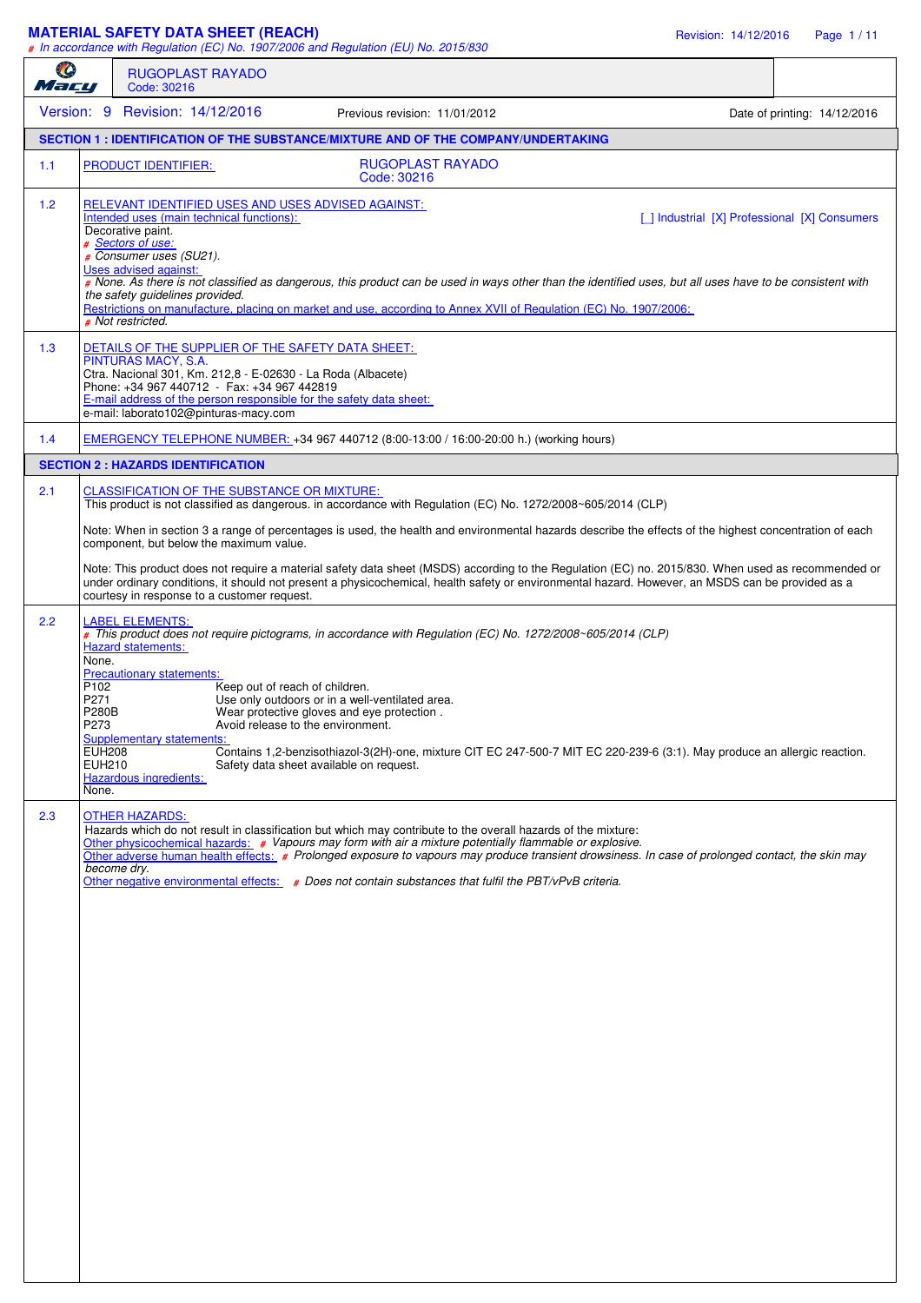#### **MATERIAL SAFETY DATA SHEET (REACH)** Revision: 14/12/2016 Page 1 / 11

*# In accordance with Regulation (EC) No. 1907/2006 and Regulation (EU) No. 2015/830*

| O<br>Mary |                                                    | <b>RUGOPLAST RAYADO</b><br>Code: 30216                                                                                                                                                                                                                                                                                                                                                                                                                                                                                                                                                                                                                                            |                              |
|-----------|----------------------------------------------------|-----------------------------------------------------------------------------------------------------------------------------------------------------------------------------------------------------------------------------------------------------------------------------------------------------------------------------------------------------------------------------------------------------------------------------------------------------------------------------------------------------------------------------------------------------------------------------------------------------------------------------------------------------------------------------------|------------------------------|
|           |                                                    | Version: 9 Revision: 14/12/2016<br>Previous revision: 11/01/2012                                                                                                                                                                                                                                                                                                                                                                                                                                                                                                                                                                                                                  | Date of printing: 14/12/2016 |
|           |                                                    | SECTION 1 : IDENTIFICATION OF THE SUBSTANCE/MIXTURE AND OF THE COMPANY/UNDERTAKING                                                                                                                                                                                                                                                                                                                                                                                                                                                                                                                                                                                                |                              |
| 1.1       |                                                    | PRODUCT IDENTIFIER:<br><b>RUGOPLAST RAYADO</b><br>Code: 30216                                                                                                                                                                                                                                                                                                                                                                                                                                                                                                                                                                                                                     |                              |
| 1.2       |                                                    | RELEVANT IDENTIFIED USES AND USES ADVISED AGAINST:<br>Intended uses (main technical functions):<br>[   Industrial [X] Professional [X] Consumers<br>Decorative paint.<br># Sectors of use:<br># Consumer uses (SU21).<br>Uses advised against:<br># None. As there is not classified as dangerous, this product can be used in ways other than the identified uses, but all uses have to be consistent with<br>the safety guidelines provided.<br>Restrictions on manufacture, placing on market and use, according to Annex XVII of Regulation (EC) No. 1907/2006:<br># Not restricted.                                                                                          |                              |
| 1.3       |                                                    | DETAILS OF THE SUPPLIER OF THE SAFETY DATA SHEET:<br>PINTURAS MACY, S.A.<br>Ctra. Nacional 301, Km. 212,8 - E-02630 - La Roda (Albacete)<br>Phone: +34 967 440712 - Fax: +34 967 442819<br>E-mail address of the person responsible for the safety data sheet:<br>e-mail: laborato102@pinturas-macy.com                                                                                                                                                                                                                                                                                                                                                                           |                              |
| 1.4       |                                                    | EMERGENCY TELEPHONE NUMBER: +34 967 440712 (8:00-13:00 / 16:00-20:00 h.) (working hours)                                                                                                                                                                                                                                                                                                                                                                                                                                                                                                                                                                                          |                              |
|           |                                                    | <b>SECTION 2 : HAZARDS IDENTIFICATION</b>                                                                                                                                                                                                                                                                                                                                                                                                                                                                                                                                                                                                                                         |                              |
| 2.1       |                                                    | <b>CLASSIFICATION OF THE SUBSTANCE OR MIXTURE:</b><br>This product is not classified as dangerous. in accordance with Regulation (EC) No. 1272/2008~605/2014 (CLP)<br>Note: When in section 3 a range of percentages is used, the health and environmental hazards describe the effects of the highest concentration of each<br>component, but below the maximum value.<br>Note: This product does not require a material safety data sheet (MSDS) according to the Regulation (EC) no. 2015/830. When used as recommended or<br>under ordinary conditions, it should not present a physicochemical, health safety or environmental hazard. However, an MSDS can be provided as a |                              |
| 2.2       | None.<br>P <sub>102</sub><br>P271<br>P280B<br>P273 | courtesy in response to a customer request.<br><b>LABEL ELEMENTS:</b><br># This product does not require pictograms, in accordance with Regulation (EC) No. 1272/2008~605/2014 (CLP)<br><b>Hazard statements:</b><br><b>Precautionary statements:</b><br>Keep out of reach of children.<br>Use only outdoors or in a well-ventilated area.<br>Wear protective gloves and eye protection.<br>Avoid release to the environment.<br><b>Supplementary statements:</b>                                                                                                                                                                                                                 |                              |
| 2.3       | <b>EUH208</b><br><b>EUH210</b><br>None.            | Contains 1,2-benzisothiazol-3(2H)-one, mixture CIT EC 247-500-7 MIT EC 220-239-6 (3:1). May produce an allergic reaction.<br>Safety data sheet available on request.<br>Hazardous ingredients:<br><b>OTHER HAZARDS:</b><br>Hazards which do not result in classification but which may contribute to the overall hazards of the mixture:<br>Other physicochemical hazards: # Vapours may form with air a mixture potentially flammable or explosive.                                                                                                                                                                                                                              |                              |
|           |                                                    | Other adverse human health effects: # Prolonged exposure to vapours may produce transient drowsiness. In case of prolonged contact, the skin may<br>become dry.<br>Other negative environmental effects: $\#$ Does not contain substances that fulfil the PBT/ $v$ PvB criteria.                                                                                                                                                                                                                                                                                                                                                                                                  |                              |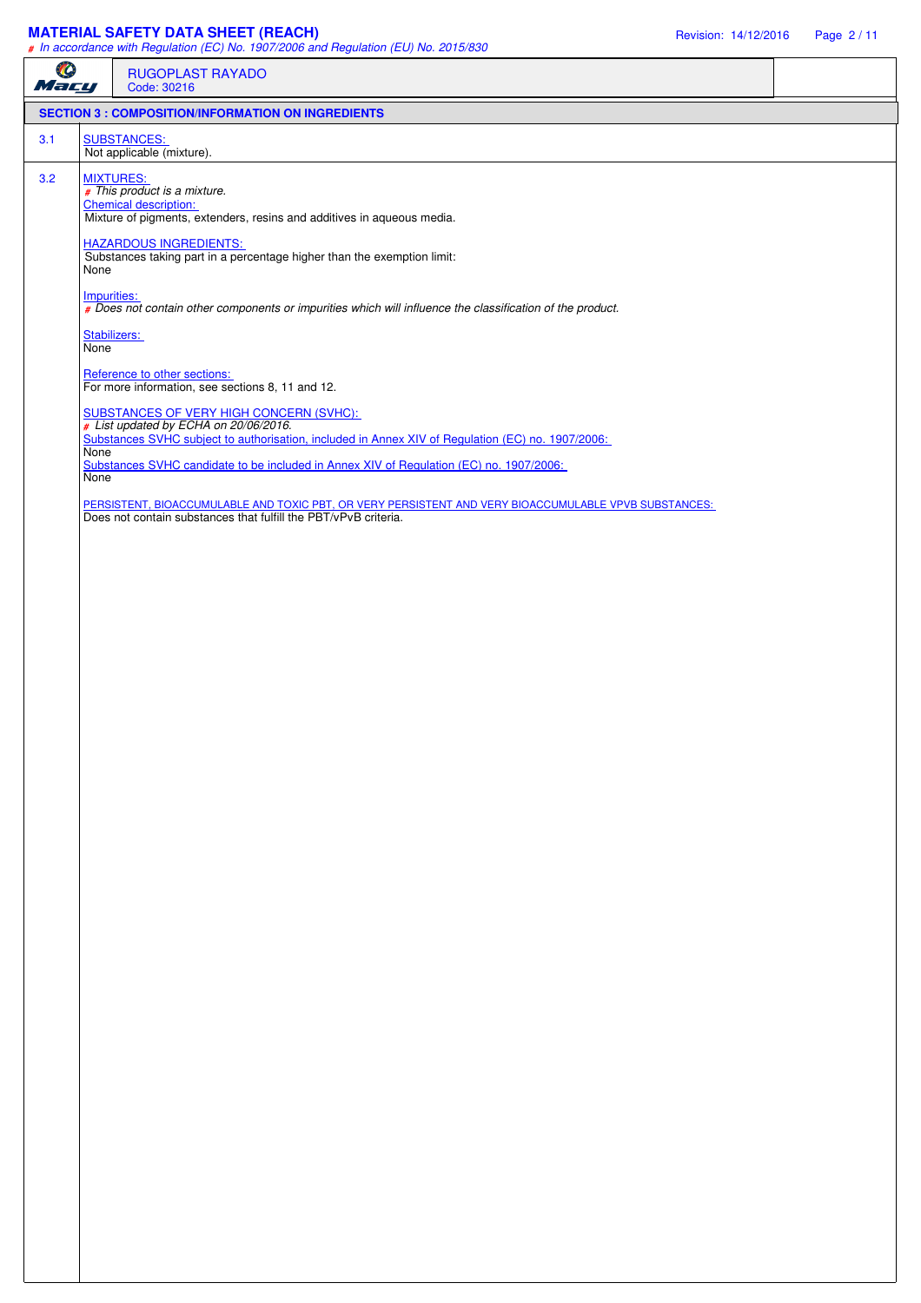## **MATERIAL SAFETY DATA SHEET (REACH)** Revision: 14/12/2016 Page 2 / 11

|           |                      | $#$ in accordance with riegulation (LO) No. 1507/2000 and riegulation (LO) No. 2015/050                                                                                               |
|-----------|----------------------|---------------------------------------------------------------------------------------------------------------------------------------------------------------------------------------|
| O<br>Mary |                      | RUGOPLAST RAYADO<br>Code: 30216                                                                                                                                                       |
|           |                      | <b>SECTION 3 : COMPOSITION/INFORMATION ON INGREDIENTS</b>                                                                                                                             |
| 3.1       |                      | <b>SUBSTANCES:</b><br>Not applicable (mixture).                                                                                                                                       |
| 3.2       | <b>MIXTURES:</b>     | # This product is a mixture.<br><b>Chemical description:</b><br>Mixture of pigments, extenders, resins and additives in aqueous media.                                                |
|           | None                 | <b>HAZARDOUS INGREDIENTS:</b><br>Substances taking part in a percentage higher than the exemption limit:                                                                              |
|           | Impurities:          | # Does not contain other components or impurities which will influence the classification of the product.                                                                             |
|           | Stabilizers:<br>None |                                                                                                                                                                                       |
|           |                      | Reference to other sections:<br>For more information, see sections 8, 11 and 12.                                                                                                      |
|           |                      | SUBSTANCES OF VERY HIGH CONCERN (SVHC):<br># List updated by ECHA on 20/06/2016.<br>Substances SVHC subject to authorisation, included in Annex XIV of Regulation (EC) no. 1907/2006: |
|           | <b>None</b><br>None  | Substances SVHC candidate to be included in Annex XIV of Regulation (EC) no. 1907/2006:                                                                                               |
|           |                      | PERSISTENT, BIOACCUMULABLE AND TOXIC PBT, OR VERY PERSISTENT AND VERY BIOACCUMULABLE VPVB SUBSTANCES: Does not contain substances that fulfill the PBT/vPvB criteria.                 |
|           |                      |                                                                                                                                                                                       |
|           |                      |                                                                                                                                                                                       |
|           |                      |                                                                                                                                                                                       |
|           |                      |                                                                                                                                                                                       |
|           |                      |                                                                                                                                                                                       |
|           |                      |                                                                                                                                                                                       |
|           |                      |                                                                                                                                                                                       |
|           |                      |                                                                                                                                                                                       |
|           |                      |                                                                                                                                                                                       |
|           |                      |                                                                                                                                                                                       |
|           |                      |                                                                                                                                                                                       |
|           |                      |                                                                                                                                                                                       |
|           |                      |                                                                                                                                                                                       |
|           |                      |                                                                                                                                                                                       |
|           |                      |                                                                                                                                                                                       |
|           |                      |                                                                                                                                                                                       |
|           |                      |                                                                                                                                                                                       |
|           |                      |                                                                                                                                                                                       |
|           |                      |                                                                                                                                                                                       |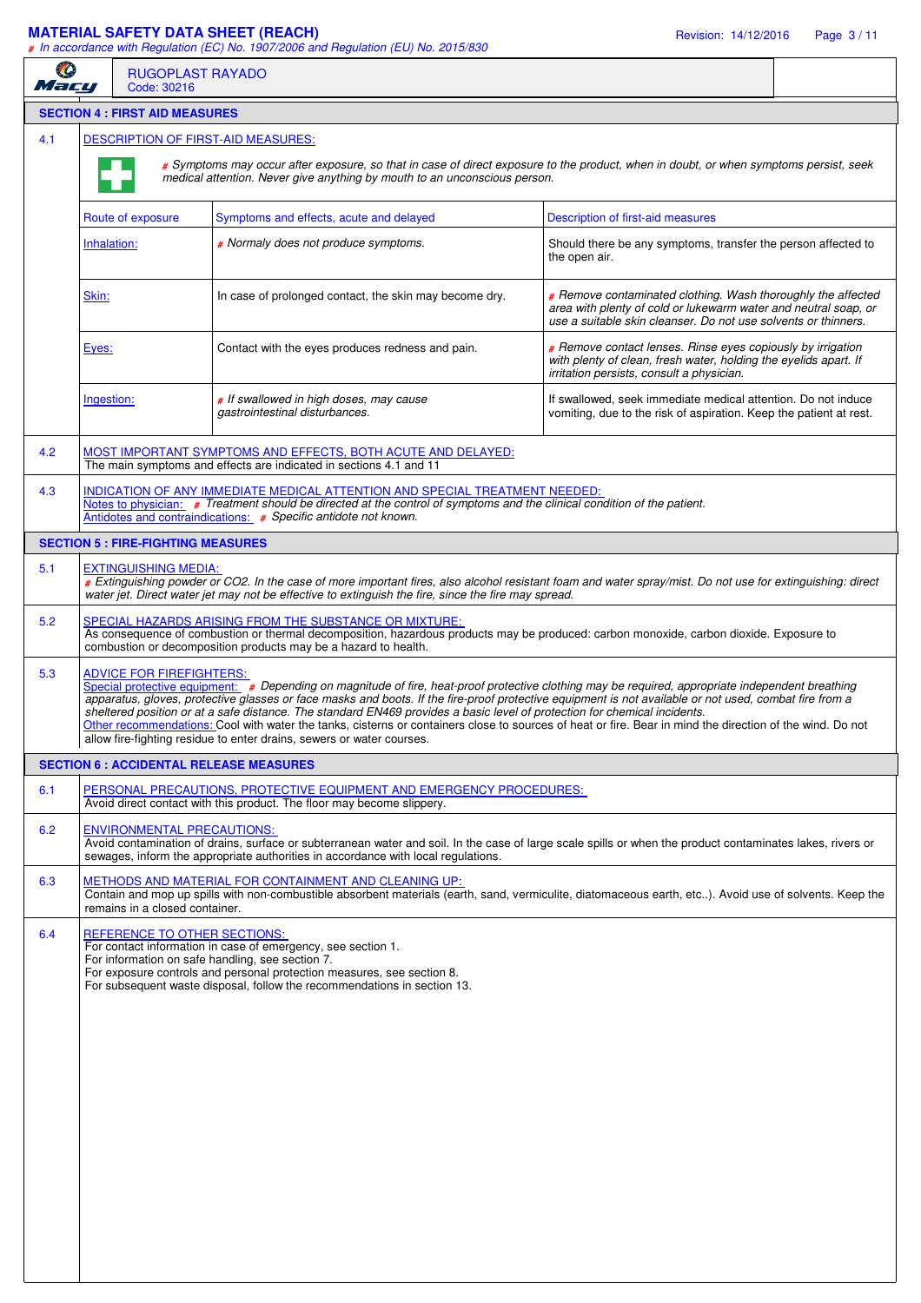## **MATERIAL SAFETY DATA SHEET (REACH)** Revision: 14/12/2016 Page 3 / 11

*# In accordance with Regulation (EC) No. 1907/2006 and Regulation (EU) No. 2015/830*

| Ø<br>Macu |             | <b>RUGOPLAST RAYADO</b><br>Code: 30216    |                                                                                                                                                                                                                                                                                                                                                                                                                                                                                                                                                                                                                                                                                |                                                                                                                                                                                                   |  |  |  |  |
|-----------|-------------|-------------------------------------------|--------------------------------------------------------------------------------------------------------------------------------------------------------------------------------------------------------------------------------------------------------------------------------------------------------------------------------------------------------------------------------------------------------------------------------------------------------------------------------------------------------------------------------------------------------------------------------------------------------------------------------------------------------------------------------|---------------------------------------------------------------------------------------------------------------------------------------------------------------------------------------------------|--|--|--|--|
|           |             | <b>SECTION 4 : FIRST AID MEASURES</b>     |                                                                                                                                                                                                                                                                                                                                                                                                                                                                                                                                                                                                                                                                                |                                                                                                                                                                                                   |  |  |  |  |
| 4.1       |             |                                           | <b>DESCRIPTION OF FIRST-AID MEASURES:</b>                                                                                                                                                                                                                                                                                                                                                                                                                                                                                                                                                                                                                                      |                                                                                                                                                                                                   |  |  |  |  |
|           |             |                                           | # Symptoms may occur after exposure, so that in case of direct exposure to the product, when in doubt, or when symptoms persist, seek<br>medical attention. Never give anything by mouth to an unconscious person.                                                                                                                                                                                                                                                                                                                                                                                                                                                             |                                                                                                                                                                                                   |  |  |  |  |
|           |             | Route of exposure                         | Symptoms and effects, acute and delayed                                                                                                                                                                                                                                                                                                                                                                                                                                                                                                                                                                                                                                        | <b>Description of first-aid measures</b>                                                                                                                                                          |  |  |  |  |
|           | Inhalation: |                                           | # Normaly does not produce symptoms.                                                                                                                                                                                                                                                                                                                                                                                                                                                                                                                                                                                                                                           | Should there be any symptoms, transfer the person affected to<br>the open air.                                                                                                                    |  |  |  |  |
|           | Skin:       |                                           | In case of prolonged contact, the skin may become dry.                                                                                                                                                                                                                                                                                                                                                                                                                                                                                                                                                                                                                         | # Remove contaminated clothing. Wash thoroughly the affected<br>area with plenty of cold or lukewarm water and neutral soap, or<br>use a suitable skin cleanser. Do not use solvents or thinners. |  |  |  |  |
|           | Eyes:       |                                           | Contact with the eyes produces redness and pain.                                                                                                                                                                                                                                                                                                                                                                                                                                                                                                                                                                                                                               | # Remove contact lenses. Rinse eyes copiously by irrigation<br>with plenty of clean, fresh water, holding the eyelids apart. If<br>irritation persists, consult a physician.                      |  |  |  |  |
|           | Ingestion:  |                                           | # If swallowed in high doses, may cause<br>gastrointestinal disturbances.                                                                                                                                                                                                                                                                                                                                                                                                                                                                                                                                                                                                      | If swallowed, seek immediate medical attention. Do not induce<br>vomiting, due to the risk of aspiration. Keep the patient at rest.                                                               |  |  |  |  |
| 4.2       |             |                                           | MOST IMPORTANT SYMPTOMS AND EFFECTS, BOTH ACUTE AND DELAYED:<br>The main symptoms and effects are indicated in sections 4.1 and 11                                                                                                                                                                                                                                                                                                                                                                                                                                                                                                                                             |                                                                                                                                                                                                   |  |  |  |  |
| 4.3       |             |                                           | INDICATION OF ANY IMMEDIATE MEDICAL ATTENTION AND SPECIAL TREATMENT NEEDED:<br>Notes to physician: # Treatment should be directed at the control of symptoms and the clinical condition of the patient.<br>Antidotes and contraindications: # Specific antidote not known.                                                                                                                                                                                                                                                                                                                                                                                                     |                                                                                                                                                                                                   |  |  |  |  |
|           |             | <b>SECTION 5 : FIRE-FIGHTING MEASURES</b> |                                                                                                                                                                                                                                                                                                                                                                                                                                                                                                                                                                                                                                                                                |                                                                                                                                                                                                   |  |  |  |  |
| 5.1       |             | <b>EXTINGUISHING MEDIA:</b>               | # Extinguishing powder or CO2. In the case of more important fires, also alcohol resistant foam and water spray/mist. Do not use for extinguishing: direct<br>water jet. Direct water jet may not be effective to extinguish the fire, since the fire may spread.                                                                                                                                                                                                                                                                                                                                                                                                              |                                                                                                                                                                                                   |  |  |  |  |
| 5.2       |             |                                           | SPECIAL HAZARDS ARISING FROM THE SUBSTANCE OR MIXTURE:<br>As consequence of combustion or thermal decomposition, hazardous products may be produced: carbon monoxide, carbon dioxide. Exposure to<br>combustion or decomposition products may be a hazard to health.                                                                                                                                                                                                                                                                                                                                                                                                           |                                                                                                                                                                                                   |  |  |  |  |
| 5.3       |             | <b>ADVICE FOR FIREFIGHTERS:</b>           | Special protective equipment: # Depending on magnitude of fire, heat-proof protective clothing may be required, appropriate independent breathing<br>apparatus, gloves, protective glasses or face masks and boots. If the fire-proof protective equipment is not available or not used, combat fire from a<br>sheltered position or at a safe distance. The standard EN469 provides a basic level of protection for chemical incidents.<br>Other recommendations: Cool with water the tanks, cisterns or containers close to sources of heat or fire. Bear in mind the direction of the wind. Do not<br>allow fire-fighting residue to enter drains, sewers or water courses. |                                                                                                                                                                                                   |  |  |  |  |
|           |             |                                           | <b>SECTION 6 : ACCIDENTAL RELEASE MEASURES</b>                                                                                                                                                                                                                                                                                                                                                                                                                                                                                                                                                                                                                                 |                                                                                                                                                                                                   |  |  |  |  |
| 6.1       |             |                                           | PERSONAL PRECAUTIONS, PROTECTIVE EQUIPMENT AND EMERGENCY PROCEDURES:<br>Avoid direct contact with this product. The floor may become slippery.                                                                                                                                                                                                                                                                                                                                                                                                                                                                                                                                 |                                                                                                                                                                                                   |  |  |  |  |
| 6.2       |             | <b>ENVIRONMENTAL PRECAUTIONS:</b>         | Avoid contamination of drains, surface or subterranean water and soil. In the case of large scale spills or when the product contaminates lakes, rivers or<br>sewages, inform the appropriate authorities in accordance with local regulations.                                                                                                                                                                                                                                                                                                                                                                                                                                |                                                                                                                                                                                                   |  |  |  |  |
| 6.3       |             | remains in a closed container.            | METHODS AND MATERIAL FOR CONTAINMENT AND CLEANING UP:<br>Contain and mop up spills with non-combustible absorbent materials (earth, sand, vermiculite, diatomaceous earth, etc). Avoid use of solvents. Keep the                                                                                                                                                                                                                                                                                                                                                                                                                                                               |                                                                                                                                                                                                   |  |  |  |  |
| 6.4       |             | REFERENCE TO OTHER SECTIONS:              | For contact information in case of emergency, see section 1.<br>For information on safe handling, see section 7.<br>For exposure controls and personal protection measures, see section 8.<br>For subsequent waste disposal, follow the recommendations in section 13.                                                                                                                                                                                                                                                                                                                                                                                                         |                                                                                                                                                                                                   |  |  |  |  |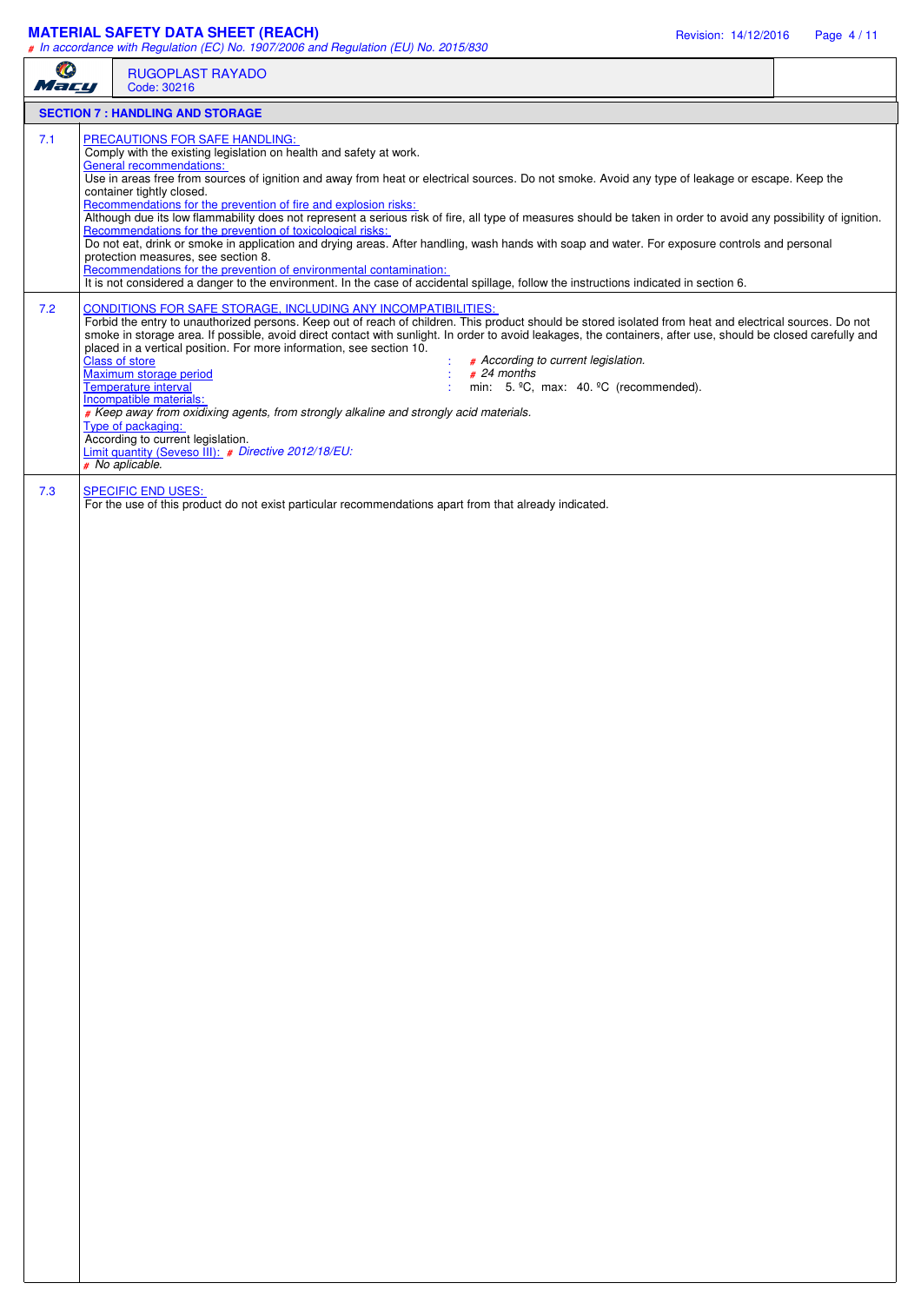## **MATERIAL SAFETY DATA SHEET (REACH)** Revision: 14/12/2016 Page 4 / 11

| O<br>Mary | <b>RUGOPLAST RAYADO</b><br>Code: 30216                                                                                                                                                                                                                                                                                                                                                                                                                                                                                                                                                                                                                                                                                                                                                                                                                                                                                                                                                                                                |  |  |  |  |  |
|-----------|---------------------------------------------------------------------------------------------------------------------------------------------------------------------------------------------------------------------------------------------------------------------------------------------------------------------------------------------------------------------------------------------------------------------------------------------------------------------------------------------------------------------------------------------------------------------------------------------------------------------------------------------------------------------------------------------------------------------------------------------------------------------------------------------------------------------------------------------------------------------------------------------------------------------------------------------------------------------------------------------------------------------------------------|--|--|--|--|--|
|           | <b>SECTION 7: HANDLING AND STORAGE</b>                                                                                                                                                                                                                                                                                                                                                                                                                                                                                                                                                                                                                                                                                                                                                                                                                                                                                                                                                                                                |  |  |  |  |  |
| 7.1       | PRECAUTIONS FOR SAFE HANDLING:<br>Comply with the existing legislation on health and safety at work.<br><b>General recommendations:</b><br>Use in areas free from sources of ignition and away from heat or electrical sources. Do not smoke. Avoid any type of leakage or escape. Keep the<br>container tightly closed.<br>Recommendations for the prevention of fire and explosion risks:<br>Although due its low flammability does not represent a serious risk of fire, all type of measures should be taken in order to avoid any possibility of ignition.<br>Recommendations for the prevention of toxicological risks:<br>Do not eat, drink or smoke in application and drying areas. After handling, wash hands with soap and water. For exposure controls and personal<br>protection measures, see section 8.<br>Recommendations for the prevention of environmental contamination:<br>It is not considered a danger to the environment. In the case of accidental spillage, follow the instructions indicated in section 6. |  |  |  |  |  |
| 7.2       | <b>CONDITIONS FOR SAFE STORAGE, INCLUDING ANY INCOMPATIBILITIES:</b><br>Forbid the entry to unauthorized persons. Keep out of reach of children. This product should be stored isolated from heat and electrical sources. Do not<br>smoke in storage area. If possible, avoid direct contact with sunlight. In order to avoid leakages, the containers, after use, should be closed carefully and<br>placed in a vertical position. For more information, see section 10.<br>Class of store<br># According to current legislation.<br>Maximum storage period<br>$# 24$ months<br>Temperature interval<br>min: 5. °C, max: 40. °C (recommended).<br>Incompatible materials:<br># Keep away from oxidixing agents, from strongly alkaline and strongly acid materials.<br>Type of packaging:<br>According to current legislation.<br>Limit quantity (Seveso III): # Directive 2012/18/EU:<br># No aplicable.                                                                                                                            |  |  |  |  |  |
| 7.3       | <b>SPECIFIC END USES:</b><br>For the use of this product do not exist particular recommendations apart from that already indicated.                                                                                                                                                                                                                                                                                                                                                                                                                                                                                                                                                                                                                                                                                                                                                                                                                                                                                                   |  |  |  |  |  |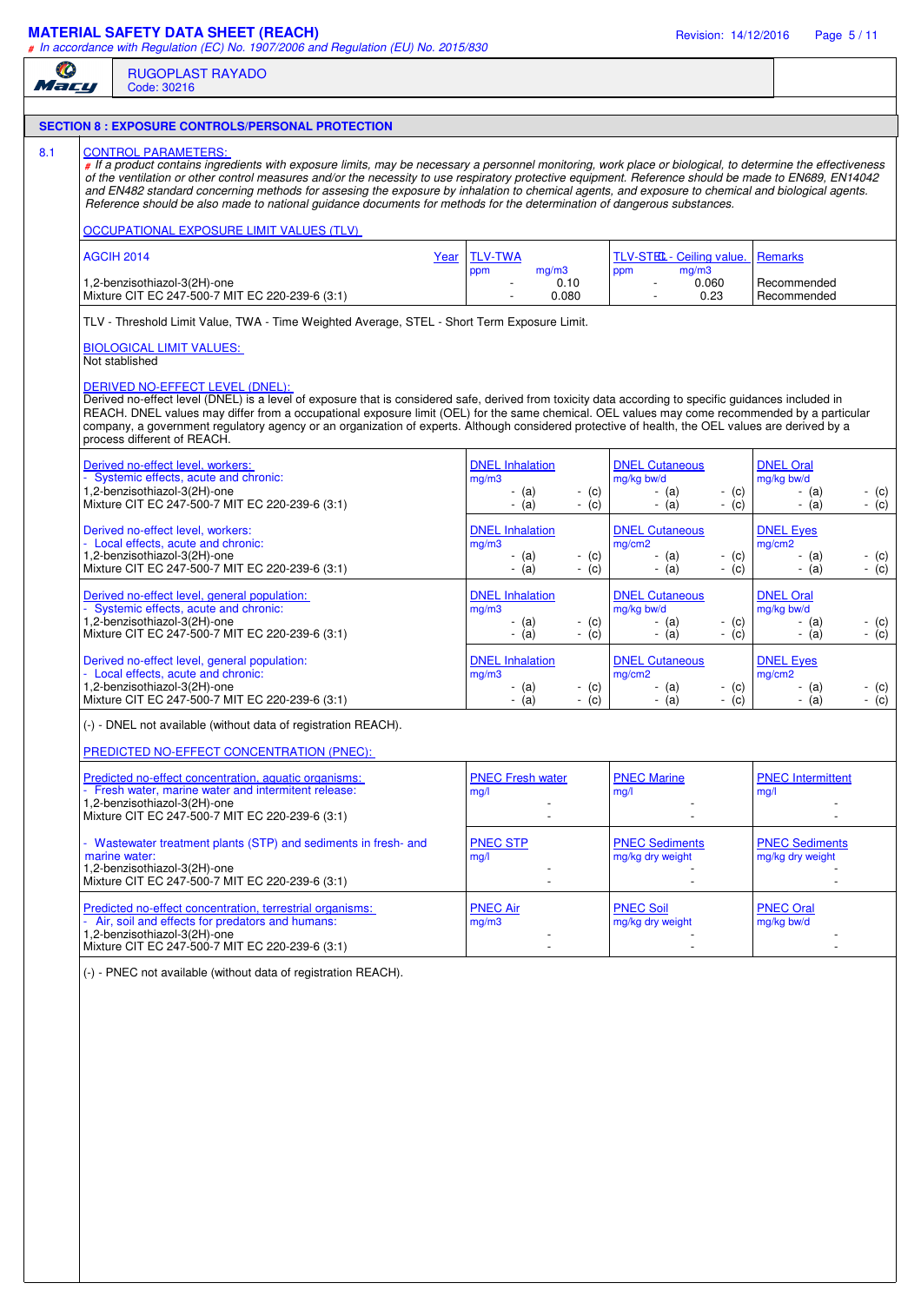## **MATERIAL SAFETY DATA SHEET (REACH)** Revision: 14/12/2016 Page 5 / 11

| <b>AGCIH 2014</b><br>Not stablished | <b>SECTION 8 : EXPOSURE CONTROLS/PERSONAL PROTECTION</b><br><b>CONTROL PARAMETERS:</b><br># If a product contains ingredients with exposure limits, may be necessary a personnel monitoring, work place or biological, to determine the effectiveness<br>of the ventilation or other control measures and/or the necessity to use respiratory protective equipment. Reference should be made to EN689, EN14042<br>and EN482 standard concerning methods for assesing the exposure by inhalation to chemical agents, and exposure to chemical and biological agents.<br>Reference should be also made to national guidance documents for methods for the determination of dangerous substances.<br>OCCUPATIONAL EXPOSURE LIMIT VALUES (TLV)<br>1,2-benzisothiazol-3(2H)-one<br>Mixture CIT EC 247-500-7 MIT EC 220-239-6 (3:1)<br>TLV - Threshold Limit Value, TWA - Time Weighted Average, STEL - Short Term Exposure Limit.<br><b>BIOLOGICAL LIMIT VALUES:</b> | Year | <b>TLV-TWA</b><br>mg/m3<br>ppm<br>0.10 |                   | TLV-STEL- Ceiling value.<br>mg/m3<br>ppm  |                                 | <b>Remarks</b>                            |         |
|-------------------------------------|-----------------------------------------------------------------------------------------------------------------------------------------------------------------------------------------------------------------------------------------------------------------------------------------------------------------------------------------------------------------------------------------------------------------------------------------------------------------------------------------------------------------------------------------------------------------------------------------------------------------------------------------------------------------------------------------------------------------------------------------------------------------------------------------------------------------------------------------------------------------------------------------------------------------------------------------------------------------|------|----------------------------------------|-------------------|-------------------------------------------|---------------------------------|-------------------------------------------|---------|
|                                     |                                                                                                                                                                                                                                                                                                                                                                                                                                                                                                                                                                                                                                                                                                                                                                                                                                                                                                                                                                 |      |                                        |                   |                                           |                                 |                                           |         |
|                                     |                                                                                                                                                                                                                                                                                                                                                                                                                                                                                                                                                                                                                                                                                                                                                                                                                                                                                                                                                                 |      |                                        |                   |                                           |                                 |                                           |         |
|                                     |                                                                                                                                                                                                                                                                                                                                                                                                                                                                                                                                                                                                                                                                                                                                                                                                                                                                                                                                                                 |      |                                        |                   |                                           |                                 |                                           |         |
|                                     |                                                                                                                                                                                                                                                                                                                                                                                                                                                                                                                                                                                                                                                                                                                                                                                                                                                                                                                                                                 |      |                                        |                   |                                           |                                 |                                           |         |
|                                     |                                                                                                                                                                                                                                                                                                                                                                                                                                                                                                                                                                                                                                                                                                                                                                                                                                                                                                                                                                 |      |                                        |                   |                                           |                                 |                                           |         |
|                                     |                                                                                                                                                                                                                                                                                                                                                                                                                                                                                                                                                                                                                                                                                                                                                                                                                                                                                                                                                                 |      | 0.080                                  |                   | 0.060<br>0.23                             |                                 | Recommended<br>Recommended                |         |
|                                     |                                                                                                                                                                                                                                                                                                                                                                                                                                                                                                                                                                                                                                                                                                                                                                                                                                                                                                                                                                 |      |                                        |                   |                                           |                                 |                                           |         |
|                                     |                                                                                                                                                                                                                                                                                                                                                                                                                                                                                                                                                                                                                                                                                                                                                                                                                                                                                                                                                                 |      |                                        |                   |                                           |                                 |                                           |         |
|                                     | DERIVED NO-EFFECT LEVEL (DNEL):<br>Derived no-effect level (DNEL) is a level of exposure that is considered safe, derived from toxicity data according to specific guidances included in<br>REACH. DNEL values may differ from a occupational exposure limit (OEL) for the same chemical. OEL values may come recommended by a particular<br>company, a government regulatory agency or an organization of experts. Although considered protective of health, the OEL values are derived by a<br>process different of REACH.                                                                                                                                                                                                                                                                                                                                                                                                                                    |      |                                        |                   |                                           |                                 |                                           |         |
|                                     | Derived no-effect level, workers:                                                                                                                                                                                                                                                                                                                                                                                                                                                                                                                                                                                                                                                                                                                                                                                                                                                                                                                               |      | <b>DNEL Inhalation</b>                 |                   | <b>DNEL Cutaneous</b>                     |                                 | <b>DNEL Oral</b>                          |         |
|                                     | Systemic effects, acute and chronic:<br>1,2-benzisothiazol-3(2H)-one                                                                                                                                                                                                                                                                                                                                                                                                                                                                                                                                                                                                                                                                                                                                                                                                                                                                                            |      | mg/m3                                  |                   | mg/kg bw/d                                |                                 | mg/kg bw/d                                | - (c)   |
|                                     | Mixture CIT EC 247-500-7 MIT EC 220-239-6 (3:1)                                                                                                                                                                                                                                                                                                                                                                                                                                                                                                                                                                                                                                                                                                                                                                                                                                                                                                                 |      | - (a)<br>$-$ (a)                       | $-$ (c)<br>$-(c)$ | - (a)<br>$-$ (a)                          | $-$ (c)<br>$-$ (c)              | - (a)<br>$-$ (a)                          | $-(c)$  |
|                                     | Derived no-effect level, workers:<br>Local effects, acute and chronic:                                                                                                                                                                                                                                                                                                                                                                                                                                                                                                                                                                                                                                                                                                                                                                                                                                                                                          |      | <b>DNEL Inhalation</b><br>mg/m3        |                   | <b>DNEL Cutaneous</b><br>mg/cm2           |                                 | <b>DNEL Eyes</b><br>mg/cm2                |         |
|                                     | 1,2-benzisothiazol-3(2H)-one                                                                                                                                                                                                                                                                                                                                                                                                                                                                                                                                                                                                                                                                                                                                                                                                                                                                                                                                    |      | - (a)                                  | $-$ (c)           | - (a)                                     | - (c)                           | - (a)                                     | - $(c)$ |
|                                     | Mixture CIT EC 247-500-7 MIT EC 220-239-6 (3:1)                                                                                                                                                                                                                                                                                                                                                                                                                                                                                                                                                                                                                                                                                                                                                                                                                                                                                                                 |      | $-(a)$                                 | $-(c)$            | $-$ (a)                                   | $-(c)$                          | $-$ (a)                                   | $-(c)$  |
|                                     | Derived no-effect level, general population:<br>Systemic effects, acute and chronic:                                                                                                                                                                                                                                                                                                                                                                                                                                                                                                                                                                                                                                                                                                                                                                                                                                                                            |      | <b>DNEL Inhalation</b><br>mg/m3        |                   | <b>DNEL Cutaneous</b><br>mg/kg bw/d       |                                 | <b>DNEL Oral</b><br>mg/kg bw/d            |         |
|                                     | 1,2-benzisothiazol-3(2H)-one                                                                                                                                                                                                                                                                                                                                                                                                                                                                                                                                                                                                                                                                                                                                                                                                                                                                                                                                    |      | - (a)                                  | $-$ (c)           | - (a)                                     | - (c)                           | - (a)                                     | - (c)   |
|                                     | Mixture CIT EC 247-500-7 MIT EC 220-239-6 (3:1)                                                                                                                                                                                                                                                                                                                                                                                                                                                                                                                                                                                                                                                                                                                                                                                                                                                                                                                 |      | $-$ (a)                                | $-(c)$            | $-$ (a)                                   | $-$ (c)                         | $-$ (a)                                   | $-(c)$  |
|                                     | Derived no-effect level, general population:<br>Local effects, acute and chronic:                                                                                                                                                                                                                                                                                                                                                                                                                                                                                                                                                                                                                                                                                                                                                                                                                                                                               |      | <b>DNEL Inhalation</b><br>mg/m3        |                   | <b>DNEL Cutaneous</b><br>mg/cm2           |                                 | <b>DNEL Eyes</b><br>mg/cm2                |         |
|                                     | 1,2-benzisothiazol-3(2H)-one                                                                                                                                                                                                                                                                                                                                                                                                                                                                                                                                                                                                                                                                                                                                                                                                                                                                                                                                    |      | - (a)                                  | $-$ (c)           | - (a)                                     | $-$ (c)                         | - (a)                                     | - (c)   |
|                                     | Mixture CIT EC 247-500-7 MIT EC 220-239-6 (3:1)                                                                                                                                                                                                                                                                                                                                                                                                                                                                                                                                                                                                                                                                                                                                                                                                                                                                                                                 |      | $-$ (a)                                | $-$ (c)           | $-$ (a)                                   | (c)<br>$\overline{\phantom{a}}$ | $-$ (a)                                   | $-$ (c) |
|                                     | (-) - DNEL not available (without data of registration REACH).                                                                                                                                                                                                                                                                                                                                                                                                                                                                                                                                                                                                                                                                                                                                                                                                                                                                                                  |      |                                        |                   |                                           |                                 |                                           |         |
|                                     | PREDICTED NO-EFFECT CONCENTRATION (PNEC):                                                                                                                                                                                                                                                                                                                                                                                                                                                                                                                                                                                                                                                                                                                                                                                                                                                                                                                       |      |                                        |                   |                                           |                                 |                                           |         |
|                                     | Predicted no-effect concentration, aquatic organisms:                                                                                                                                                                                                                                                                                                                                                                                                                                                                                                                                                                                                                                                                                                                                                                                                                                                                                                           |      | <b>PNEC Fresh water</b>                |                   | <b>PNEC Marine</b>                        |                                 | <b>PNEC</b> Intermittent                  |         |
|                                     | - Fresh water, marine water and intermitent release:<br>1,2-benzisothiazol-3(2H)-one                                                                                                                                                                                                                                                                                                                                                                                                                                                                                                                                                                                                                                                                                                                                                                                                                                                                            |      | mq/l                                   |                   | mg/l                                      |                                 | mg/l                                      |         |
|                                     | Mixture CIT EC 247-500-7 MIT EC 220-239-6 (3:1)                                                                                                                                                                                                                                                                                                                                                                                                                                                                                                                                                                                                                                                                                                                                                                                                                                                                                                                 |      |                                        |                   |                                           |                                 |                                           |         |
| marine water:                       | - Wastewater treatment plants (STP) and sediments in fresh- and                                                                                                                                                                                                                                                                                                                                                                                                                                                                                                                                                                                                                                                                                                                                                                                                                                                                                                 |      | <b>PNEC STP</b><br>mq/l                |                   | <b>PNEC Sediments</b><br>mg/kg dry weight |                                 | <b>PNEC Sediments</b><br>mg/kg dry weight |         |
|                                     | 1,2-benzisothiazol-3(2H)-one                                                                                                                                                                                                                                                                                                                                                                                                                                                                                                                                                                                                                                                                                                                                                                                                                                                                                                                                    |      |                                        |                   |                                           |                                 |                                           |         |
|                                     | Mixture CIT EC 247-500-7 MIT EC 220-239-6 (3:1)                                                                                                                                                                                                                                                                                                                                                                                                                                                                                                                                                                                                                                                                                                                                                                                                                                                                                                                 |      |                                        |                   |                                           |                                 |                                           |         |
|                                     | Predicted no-effect concentration, terrestrial organisms:<br>Air, soil and effects for predators and humans:                                                                                                                                                                                                                                                                                                                                                                                                                                                                                                                                                                                                                                                                                                                                                                                                                                                    |      | <b>PNEC Air</b><br>mg/m3               |                   | <b>PNEC Soil</b><br>mg/kg dry weight      |                                 | <b>PNEC Oral</b><br>mg/kg bw/d            |         |
|                                     | 1,2-benzisothiazol-3(2H)-one                                                                                                                                                                                                                                                                                                                                                                                                                                                                                                                                                                                                                                                                                                                                                                                                                                                                                                                                    |      |                                        |                   |                                           |                                 |                                           |         |
|                                     | Mixture CIT EC 247-500-7 MIT EC 220-239-6 (3:1)                                                                                                                                                                                                                                                                                                                                                                                                                                                                                                                                                                                                                                                                                                                                                                                                                                                                                                                 |      | $\overline{\phantom{0}}$               |                   |                                           |                                 |                                           |         |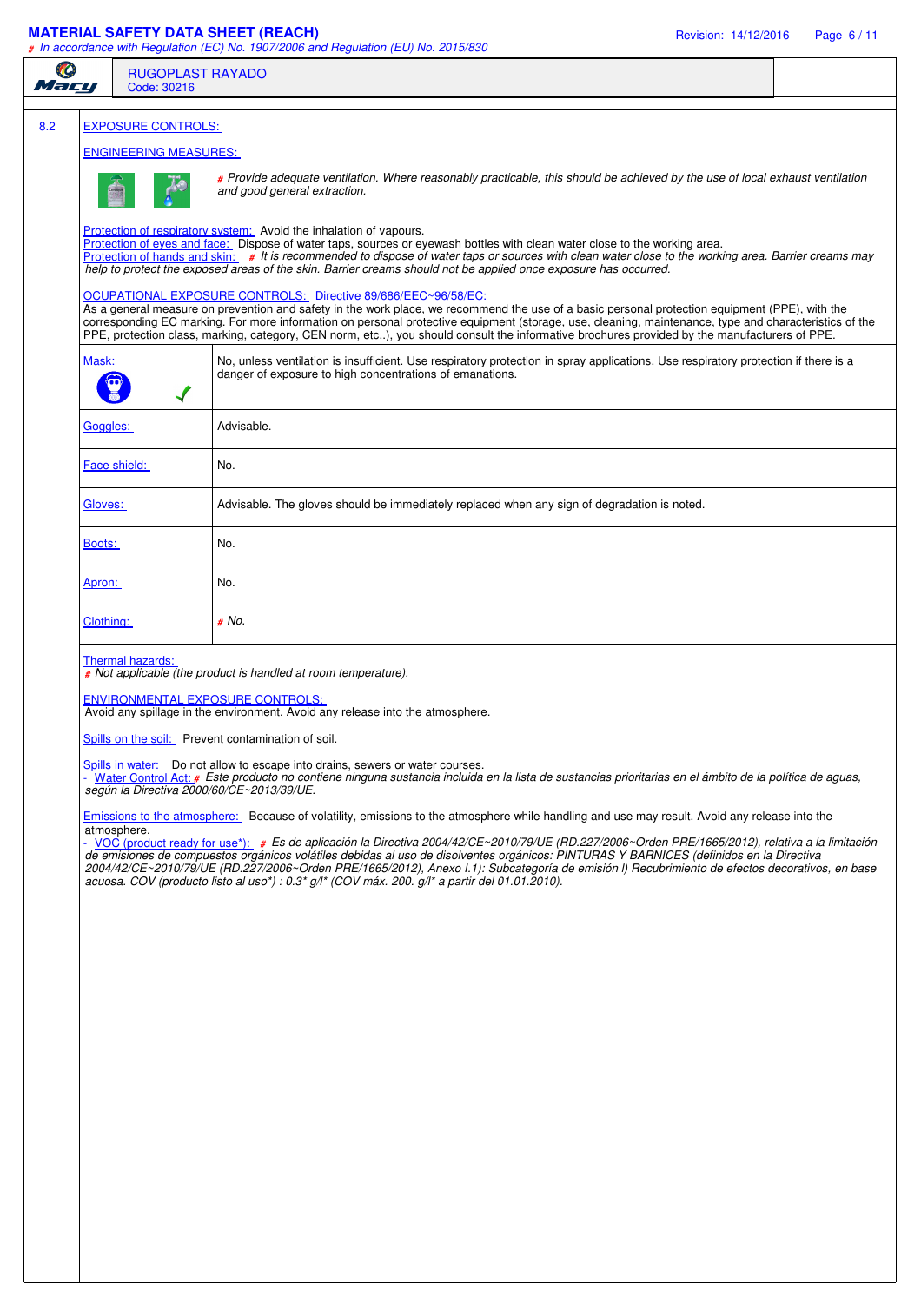## **MATERIAL SAFETY DATA SHEET (REACH)** Revision: 14/12/2016 Page 6 / 11

#### *# In accordance with Regulation (EC) No. 1907/2006 and Regulation (EU) No. 2015/830*

| <b>RUGOPLAST RAYADO</b><br>Code: 30216                                                                                                                                                                                                                                                                                                                                                                                                                                                                                   |                                                                                                                                                                                                                                                                                                                                                                                                                                                                                                                                                                                                                                                                                                                                                                                                                                                                                                                                                                                                                                                                                                                                                                                                                                                                                                                                                                                                                                   |  |  |  |  |
|--------------------------------------------------------------------------------------------------------------------------------------------------------------------------------------------------------------------------------------------------------------------------------------------------------------------------------------------------------------------------------------------------------------------------------------------------------------------------------------------------------------------------|-----------------------------------------------------------------------------------------------------------------------------------------------------------------------------------------------------------------------------------------------------------------------------------------------------------------------------------------------------------------------------------------------------------------------------------------------------------------------------------------------------------------------------------------------------------------------------------------------------------------------------------------------------------------------------------------------------------------------------------------------------------------------------------------------------------------------------------------------------------------------------------------------------------------------------------------------------------------------------------------------------------------------------------------------------------------------------------------------------------------------------------------------------------------------------------------------------------------------------------------------------------------------------------------------------------------------------------------------------------------------------------------------------------------------------------|--|--|--|--|
|                                                                                                                                                                                                                                                                                                                                                                                                                                                                                                                          |                                                                                                                                                                                                                                                                                                                                                                                                                                                                                                                                                                                                                                                                                                                                                                                                                                                                                                                                                                                                                                                                                                                                                                                                                                                                                                                                                                                                                                   |  |  |  |  |
|                                                                                                                                                                                                                                                                                                                                                                                                                                                                                                                          |                                                                                                                                                                                                                                                                                                                                                                                                                                                                                                                                                                                                                                                                                                                                                                                                                                                                                                                                                                                                                                                                                                                                                                                                                                                                                                                                                                                                                                   |  |  |  |  |
| # Provide adequate ventilation. Where reasonably practicable, this should be achieved by the use of local exhaust ventilation<br>and good general extraction.                                                                                                                                                                                                                                                                                                                                                            |                                                                                                                                                                                                                                                                                                                                                                                                                                                                                                                                                                                                                                                                                                                                                                                                                                                                                                                                                                                                                                                                                                                                                                                                                                                                                                                                                                                                                                   |  |  |  |  |
| Protection of respiratory system: Avoid the inhalation of vapours.<br>Protection of eyes and face: Dispose of water taps, sources or eyewash bottles with clean water close to the working area.<br>Protection of hands and skin: # It is recommended to dispose of water taps or sources with clean water close to the working area. Barrier creams may<br>help to protect the exposed areas of the skin. Barrier creams should not be applied once exposure has occurred.                                              |                                                                                                                                                                                                                                                                                                                                                                                                                                                                                                                                                                                                                                                                                                                                                                                                                                                                                                                                                                                                                                                                                                                                                                                                                                                                                                                                                                                                                                   |  |  |  |  |
| OCUPATIONAL EXPOSURE CONTROLS: Directive 89/686/EEC~96/58/EC:<br>As a general measure on prevention and safety in the work place, we recommend the use of a basic personal protection equipment (PPE), with the<br>corresponding EC marking. For more information on personal protective equipment (storage, use, cleaning, maintenance, type and characteristics of the<br>PPE, protection class, marking, category, CEN norm, etc), you should consult the informative brochures provided by the manufacturers of PPE. |                                                                                                                                                                                                                                                                                                                                                                                                                                                                                                                                                                                                                                                                                                                                                                                                                                                                                                                                                                                                                                                                                                                                                                                                                                                                                                                                                                                                                                   |  |  |  |  |
| No, unless ventilation is insufficient. Use respiratory protection in spray applications. Use respiratory protection if there is a<br>danger of exposure to high concentrations of emanations.                                                                                                                                                                                                                                                                                                                           |                                                                                                                                                                                                                                                                                                                                                                                                                                                                                                                                                                                                                                                                                                                                                                                                                                                                                                                                                                                                                                                                                                                                                                                                                                                                                                                                                                                                                                   |  |  |  |  |
| Advisable.                                                                                                                                                                                                                                                                                                                                                                                                                                                                                                               |                                                                                                                                                                                                                                                                                                                                                                                                                                                                                                                                                                                                                                                                                                                                                                                                                                                                                                                                                                                                                                                                                                                                                                                                                                                                                                                                                                                                                                   |  |  |  |  |
| No.                                                                                                                                                                                                                                                                                                                                                                                                                                                                                                                      |                                                                                                                                                                                                                                                                                                                                                                                                                                                                                                                                                                                                                                                                                                                                                                                                                                                                                                                                                                                                                                                                                                                                                                                                                                                                                                                                                                                                                                   |  |  |  |  |
| Advisable. The gloves should be immediately replaced when any sign of degradation is noted.                                                                                                                                                                                                                                                                                                                                                                                                                              |                                                                                                                                                                                                                                                                                                                                                                                                                                                                                                                                                                                                                                                                                                                                                                                                                                                                                                                                                                                                                                                                                                                                                                                                                                                                                                                                                                                                                                   |  |  |  |  |
| No.                                                                                                                                                                                                                                                                                                                                                                                                                                                                                                                      |                                                                                                                                                                                                                                                                                                                                                                                                                                                                                                                                                                                                                                                                                                                                                                                                                                                                                                                                                                                                                                                                                                                                                                                                                                                                                                                                                                                                                                   |  |  |  |  |
| No.                                                                                                                                                                                                                                                                                                                                                                                                                                                                                                                      |                                                                                                                                                                                                                                                                                                                                                                                                                                                                                                                                                                                                                                                                                                                                                                                                                                                                                                                                                                                                                                                                                                                                                                                                                                                                                                                                                                                                                                   |  |  |  |  |
| # No.                                                                                                                                                                                                                                                                                                                                                                                                                                                                                                                    |                                                                                                                                                                                                                                                                                                                                                                                                                                                                                                                                                                                                                                                                                                                                                                                                                                                                                                                                                                                                                                                                                                                                                                                                                                                                                                                                                                                                                                   |  |  |  |  |
|                                                                                                                                                                                                                                                                                                                                                                                                                                                                                                                          |                                                                                                                                                                                                                                                                                                                                                                                                                                                                                                                                                                                                                                                                                                                                                                                                                                                                                                                                                                                                                                                                                                                                                                                                                                                                                                                                                                                                                                   |  |  |  |  |
|                                                                                                                                                                                                                                                                                                                                                                                                                                                                                                                          | <b>EXPOSURE CONTROLS:</b><br><b>ENGINEERING MEASURES:</b><br>Mask:<br>Goggles:<br>Face shield:<br>Gloves:<br>Boots:<br>Apron:<br>Clothing:<br>Thermal hazards:<br># Not applicable (the product is handled at room temperature).<br><b>ENVIRONMENTAL EXPOSURE CONTROLS:</b><br>Avoid any spillage in the environment. Avoid any release into the atmosphere.<br>Spills on the soil: Prevent contamination of soil.<br>Spills in water: Do not allow to escape into drains, sewers or water courses.<br>- Water Control Act: # Este producto no contiene ninguna sustancia incluida en la lista de sustancias prioritarias en el ámbito de la política de aguas,<br>según la Directiva 2000/60/CE~2013/39/UE.<br>Emissions to the atmosphere: Because of volatility, emissions to the atmosphere while handling and use may result. Avoid any release into the<br>atmosphere.<br>- VOC (product ready for use*): # Es de aplicación la Directiva 2004/42/CE~2010/79/UE (RD.227/2006~Orden PRE/1665/2012), relativa a la limitación<br>de emisiones de compuestos orgánicos volátiles debidas al uso de disolventes orgánicos: PINTURAS Y BARNICES (definidos en la Directiva<br>2004/42/CE~2010/79/UE (RD.227/2006~Orden PRE/1665/2012), Anexo I.1): Subcategoría de emisión I) Recubrimiento de efectos decorativos, en base<br>acuosa. COV (producto listo al uso*) : $0.3^*$ g/l* (COV máx. 200. g/l* a partir del 01.01.2010). |  |  |  |  |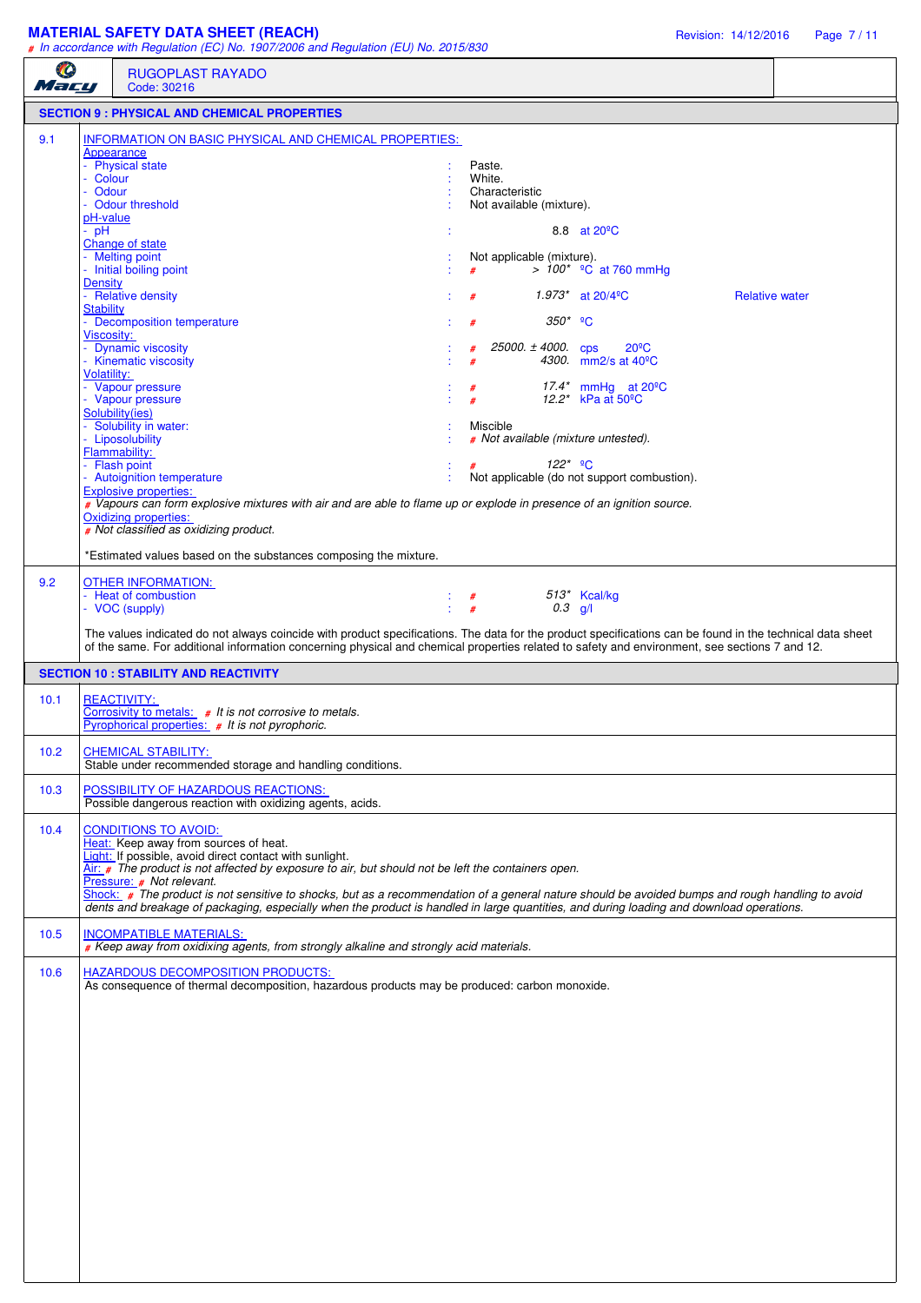## **MATERIAL SAFETY DATA SHEET (REACH)** Revision: 14/12/2016 Page 7 / 11

| O<br>Macy                                                                                                  | <b>RUGOPLAST RAYADO</b><br>Code: 30216                                                                                                                                                                                                                                                                                                                                                                                                                                                              |                                                                                                                                                                                                                                                                                                                                                                                                                                                                                                                                                                                                                                                                    |
|------------------------------------------------------------------------------------------------------------|-----------------------------------------------------------------------------------------------------------------------------------------------------------------------------------------------------------------------------------------------------------------------------------------------------------------------------------------------------------------------------------------------------------------------------------------------------------------------------------------------------|--------------------------------------------------------------------------------------------------------------------------------------------------------------------------------------------------------------------------------------------------------------------------------------------------------------------------------------------------------------------------------------------------------------------------------------------------------------------------------------------------------------------------------------------------------------------------------------------------------------------------------------------------------------------|
|                                                                                                            | <b>SECTION 9 : PHYSICAL AND CHEMICAL PROPERTIES</b>                                                                                                                                                                                                                                                                                                                                                                                                                                                 |                                                                                                                                                                                                                                                                                                                                                                                                                                                                                                                                                                                                                                                                    |
| 9.1<br>- Colour<br>Odour<br>pH-value<br>$-$ pH<br>Density<br><b>Stability</b><br>Viscosity:<br>Volatility: | <b>INFORMATION ON BASIC PHYSICAL AND CHEMICAL PROPERTIES:</b><br>Appearance<br>- Physical state<br>- Odour threshold<br>Change of state<br>- Melting point<br>- Initial boiling point<br>- Relative density<br>- Decomposition temperature<br>Dynamic viscosity<br>- Kinematic viscosity<br>- Vapour pressure<br>- Vapour pressure<br>Solubility(ies)<br>- Solubility in water:<br>- Liposolubility<br>Flammability:<br>- Flash point<br>- Autoignition temperature<br><b>Explosive properties:</b> | Paste.<br>White.<br>Characteristic<br>Not available (mixture).<br>8.8 at 20 <sup>°</sup> C<br>Not applicable (mixture).<br>> $100^*$ <sup>o</sup> C at 760 mmHg<br><b>Relative water</b><br>1.973* at $20/4$ <sup>o</sup> C<br>$350*$ <sup>9</sup> C<br>#<br>25000. $\pm$ 4000. cps<br>$20^{\circ}$ C<br>#<br>4300. mm2/s at 40 <sup>°</sup> C<br>17.4* mmHg at $20^{\circ}$ C<br>#<br>12.2* kPa at 50°C<br>Miscible<br># Not available (mixture untested).<br>$122^*$ <sup>o</sup> C<br>#<br>Not applicable (do not support combustion).<br># Vapours can form explosive mixtures with air and are able to flame up or explode in presence of an ignition source. |
|                                                                                                            | <b>Oxidizing properties:</b><br># Not classified as oxidizing product.<br>*Estimated values based on the substances composing the mixture.                                                                                                                                                                                                                                                                                                                                                          |                                                                                                                                                                                                                                                                                                                                                                                                                                                                                                                                                                                                                                                                    |
| 9.2                                                                                                        | <b>OTHER INFORMATION:</b><br>- Heat of combustion<br>- VOC (supply)                                                                                                                                                                                                                                                                                                                                                                                                                                 | 513* Kcal/kg<br>$\begin{array}{cc} \vdots & \# \\ \vdots & \# \end{array}$<br>$0.3$ g/l<br>The values indicated do not always coincide with product specifications. The data for the product specifications can be found in the technical data sheet<br>of the same. For additional information concerning physical and chemical properties related to safety and environment, see sections 7 and 12.                                                                                                                                                                                                                                                              |
|                                                                                                            | <b>SECTION 10 : STABILITY AND REACTIVITY</b>                                                                                                                                                                                                                                                                                                                                                                                                                                                        |                                                                                                                                                                                                                                                                                                                                                                                                                                                                                                                                                                                                                                                                    |
| 10.1                                                                                                       | <b>REACTIVITY:</b><br>Corrosivity to metals: $#$ It is not corrosive to metals.<br>Pyrophorical properties: # It is not pyrophoric.                                                                                                                                                                                                                                                                                                                                                                 |                                                                                                                                                                                                                                                                                                                                                                                                                                                                                                                                                                                                                                                                    |
| 10.2                                                                                                       | <b>CHEMICAL STABILITY:</b><br>Stable under recommended storage and handling conditions.                                                                                                                                                                                                                                                                                                                                                                                                             |                                                                                                                                                                                                                                                                                                                                                                                                                                                                                                                                                                                                                                                                    |
| 10.3                                                                                                       | POSSIBILITY OF HAZARDOUS REACTIONS:<br>Possible dangerous reaction with oxidizing agents, acids.                                                                                                                                                                                                                                                                                                                                                                                                    |                                                                                                                                                                                                                                                                                                                                                                                                                                                                                                                                                                                                                                                                    |
| 10.4                                                                                                       | <b>CONDITIONS TO AVOID:</b><br>Heat: Keep away from sources of heat.<br>Light: If possible, avoid direct contact with sunlight.<br>$\overline{Air}$ : $\#$ The product is not affected by exposure to air, but should not be left the containers open.<br>Pressure: # Not relevant.                                                                                                                                                                                                                 | Shock: # The product is not sensitive to shocks, but as a recommendation of a general nature should be avoided bumps and rough handling to avoid<br>dents and breakage of packaging, especially when the product is handled in large quantities, and during loading and download operations.                                                                                                                                                                                                                                                                                                                                                                       |
| 10.5                                                                                                       | <b>INCOMPATIBLE MATERIALS:</b><br># Keep away from oxidixing agents, from strongly alkaline and strongly acid materials.                                                                                                                                                                                                                                                                                                                                                                            |                                                                                                                                                                                                                                                                                                                                                                                                                                                                                                                                                                                                                                                                    |
| 10.6                                                                                                       | HAZARDOUS DECOMPOSITION PRODUCTS:<br>As consequence of thermal decomposition, hazardous products may be produced: carbon monoxide.                                                                                                                                                                                                                                                                                                                                                                  |                                                                                                                                                                                                                                                                                                                                                                                                                                                                                                                                                                                                                                                                    |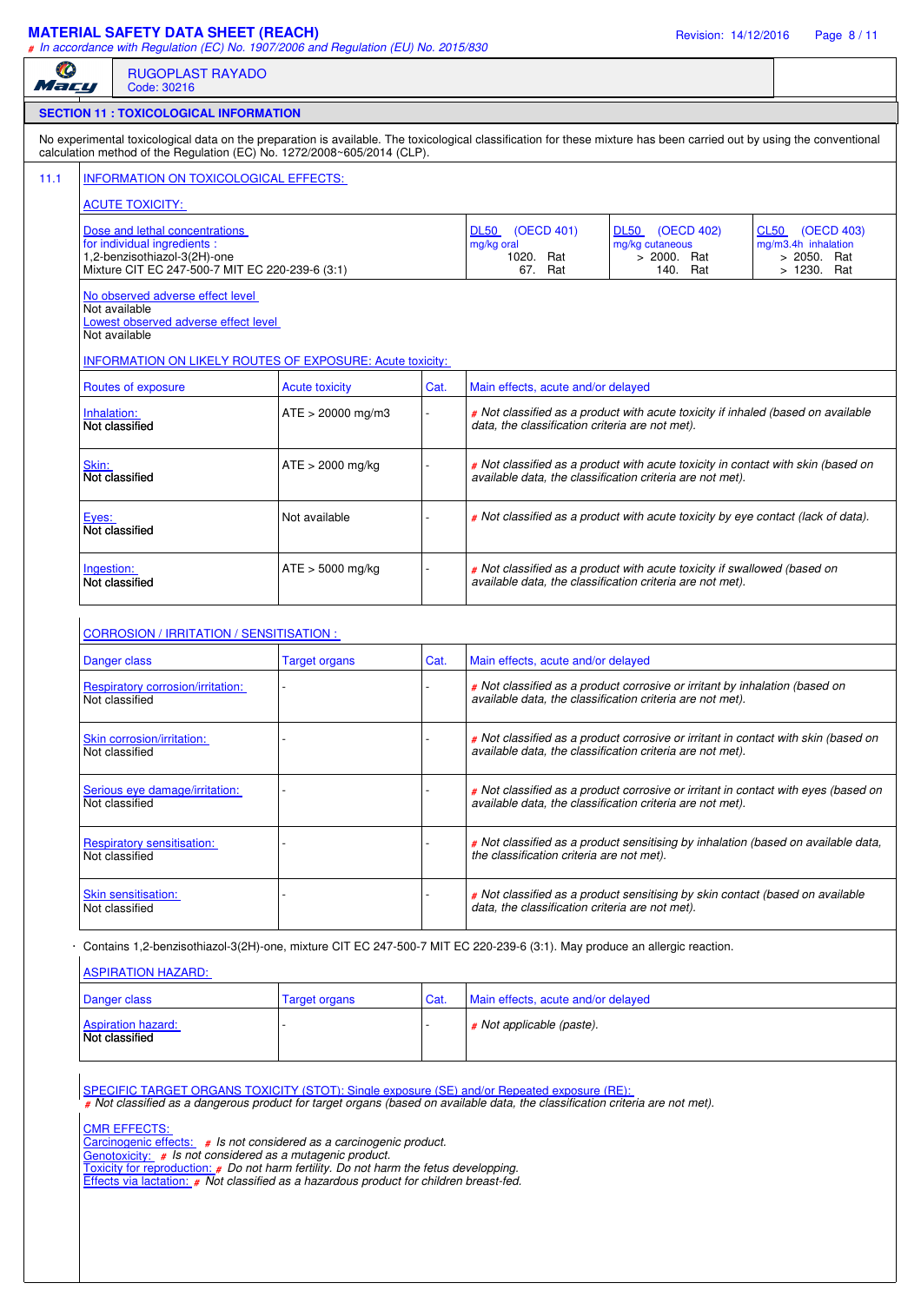## **MATERIAL SAFETY DATA SHEET (REACH)** Revision: 14/12/2016 Page 8 / 11

*# In accordance with Regulation (EC) No. 1907/2006 and Regulation (EU) No. 2015/830*

| O<br><b>RUGOPLAST RAYADO</b><br>Macy<br>Code: 30216                                                                                                                                            |                                                                                                                                                                                                                                                                                                                             |                       |      |                                                                                                                                                 |                                                                                                                                                 |                                                   |  |  |
|------------------------------------------------------------------------------------------------------------------------------------------------------------------------------------------------|-----------------------------------------------------------------------------------------------------------------------------------------------------------------------------------------------------------------------------------------------------------------------------------------------------------------------------|-----------------------|------|-------------------------------------------------------------------------------------------------------------------------------------------------|-------------------------------------------------------------------------------------------------------------------------------------------------|---------------------------------------------------|--|--|
|                                                                                                                                                                                                | <b>SECTION 11 : TOXICOLOGICAL INFORMATION</b>                                                                                                                                                                                                                                                                               |                       |      |                                                                                                                                                 |                                                                                                                                                 |                                                   |  |  |
|                                                                                                                                                                                                | No experimental toxicological data on the preparation is available. The toxicological classification for these mixture has been carried out by using the conventional<br>calculation method of the Regulation (EC) No. 1272/2008~605/2014 (CLP).                                                                            |                       |      |                                                                                                                                                 |                                                                                                                                                 |                                                   |  |  |
|                                                                                                                                                                                                | <b>INFORMATION ON TOXICOLOGICAL EFFECTS:</b>                                                                                                                                                                                                                                                                                |                       |      |                                                                                                                                                 |                                                                                                                                                 |                                                   |  |  |
| <b>ACUTE TOXICITY:</b>                                                                                                                                                                         |                                                                                                                                                                                                                                                                                                                             |                       |      |                                                                                                                                                 |                                                                                                                                                 |                                                   |  |  |
|                                                                                                                                                                                                | Dose and lethal concentrations                                                                                                                                                                                                                                                                                              |                       |      | <b>DL50</b><br>(OECD 401)                                                                                                                       | <b>DL50</b><br>(OECD 402)                                                                                                                       | CL50<br>(OECD 403)                                |  |  |
| for individual ingredients :<br>1,2-benzisothiazol-3(2H)-one<br>Mixture CIT EC 247-500-7 MIT EC 220-239-6 (3:1)                                                                                |                                                                                                                                                                                                                                                                                                                             |                       |      | mg/kg oral<br>1020. Rat<br>67. Rat                                                                                                              | mg/kg cutaneous<br>> 2000. Rat<br>140. Rat                                                                                                      | mg/m3.4h inhalation<br>> 2050. Rat<br>> 1230. Rat |  |  |
|                                                                                                                                                                                                | No observed adverse effect level                                                                                                                                                                                                                                                                                            |                       |      |                                                                                                                                                 |                                                                                                                                                 |                                                   |  |  |
|                                                                                                                                                                                                | Not available<br>Lowest observed adverse effect level                                                                                                                                                                                                                                                                       |                       |      |                                                                                                                                                 |                                                                                                                                                 |                                                   |  |  |
| Not available                                                                                                                                                                                  |                                                                                                                                                                                                                                                                                                                             |                       |      |                                                                                                                                                 |                                                                                                                                                 |                                                   |  |  |
| <b>INFORMATION ON LIKELY ROUTES OF EXPOSURE: Acute toxicity:</b>                                                                                                                               |                                                                                                                                                                                                                                                                                                                             |                       |      |                                                                                                                                                 |                                                                                                                                                 |                                                   |  |  |
|                                                                                                                                                                                                | Routes of exposure                                                                                                                                                                                                                                                                                                          | <b>Acute toxicity</b> | Cat. | Main effects, acute and/or delayed                                                                                                              |                                                                                                                                                 |                                                   |  |  |
| Inhalation:                                                                                                                                                                                    | Not classified                                                                                                                                                                                                                                                                                                              | $ATE > 20000$ mg/m3   |      | data, the classification criteria are not met).                                                                                                 | # Not classified as a product with acute toxicity if inhaled (based on available                                                                |                                                   |  |  |
| # Not classified as a product with acute toxicity in contact with skin (based on<br>Skin:<br>$ATE > 2000$ mg/kg<br>Not classified<br>available data, the classification criteria are not met). |                                                                                                                                                                                                                                                                                                                             |                       |      |                                                                                                                                                 |                                                                                                                                                 |                                                   |  |  |
| Eyes:                                                                                                                                                                                          | Not classified                                                                                                                                                                                                                                                                                                              | Not available         |      | # Not classified as a product with acute toxicity by eye contact (lack of data).                                                                |                                                                                                                                                 |                                                   |  |  |
| Ingestion:                                                                                                                                                                                     | Not classified                                                                                                                                                                                                                                                                                                              | $ATE > 5000$ mg/kg    |      |                                                                                                                                                 | # Not classified as a product with acute toxicity if swallowed (based on<br>available data, the classification criteria are not met).           |                                                   |  |  |
|                                                                                                                                                                                                | CORROSION / IRRITATION / SENSITISATION :                                                                                                                                                                                                                                                                                    |                       |      |                                                                                                                                                 |                                                                                                                                                 |                                                   |  |  |
|                                                                                                                                                                                                | Danger class                                                                                                                                                                                                                                                                                                                | <b>Target organs</b>  | Cat. | Main effects, acute and/or delayed                                                                                                              |                                                                                                                                                 |                                                   |  |  |
|                                                                                                                                                                                                | Respiratory corrosion/irritation:<br>Not classified                                                                                                                                                                                                                                                                         |                       |      | # Not classified as a product corrosive or irritant by inhalation (based on<br>available data, the classification criteria are not met).        |                                                                                                                                                 |                                                   |  |  |
|                                                                                                                                                                                                | Skin corrosion/irritation:<br>Not classified                                                                                                                                                                                                                                                                                |                       |      | # Not classified as a product corrosive or irritant in contact with skin (based on<br>available data, the classification criteria are not met). |                                                                                                                                                 |                                                   |  |  |
|                                                                                                                                                                                                | Serious eye damage/irritation:<br>Not classified                                                                                                                                                                                                                                                                            |                       |      |                                                                                                                                                 | # Not classified as a product corrosive or irritant in contact with eyes (based on<br>available data, the classification criteria are not met). |                                                   |  |  |
|                                                                                                                                                                                                | <b>Respiratory sensitisation:</b><br>Not classified                                                                                                                                                                                                                                                                         |                       |      | the classification criteria are not met).                                                                                                       | # Not classified as a product sensitising by inhalation (based on available data,                                                               |                                                   |  |  |
|                                                                                                                                                                                                | <b>Skin sensitisation:</b><br>Not classified                                                                                                                                                                                                                                                                                |                       |      | data, the classification criteria are not met).                                                                                                 | # Not classified as a product sensitising by skin contact (based on available                                                                   |                                                   |  |  |
|                                                                                                                                                                                                | Contains 1,2-benzisothiazol-3(2H)-one, mixture CIT EC 247-500-7 MIT EC 220-239-6 (3:1). May produce an allergic reaction.<br><b>ASPIRATION HAZARD:</b>                                                                                                                                                                      |                       |      |                                                                                                                                                 |                                                                                                                                                 |                                                   |  |  |
|                                                                                                                                                                                                | Danger class                                                                                                                                                                                                                                                                                                                | <b>Target organs</b>  | Cat. | Main effects, acute and/or delayed                                                                                                              |                                                                                                                                                 |                                                   |  |  |
|                                                                                                                                                                                                | <b>Aspiration hazard:</b><br>Not classified                                                                                                                                                                                                                                                                                 |                       |      | # Not applicable (paste).                                                                                                                       |                                                                                                                                                 |                                                   |  |  |
|                                                                                                                                                                                                | SPECIFIC TARGET ORGANS TOXICITY (STOT): Single exposure (SE) and/or Repeated exposure (RE):<br># Not classified as a dangerous product for target organs (based on available data, the classification criteria are not met).<br><b>CMR EFFECTS:</b><br>Carcinogenic effects: # Is not considered as a carcinogenic product. |                       |      |                                                                                                                                                 |                                                                                                                                                 |                                                   |  |  |

Genotoxicity: *# Is not considered as a mutagenic product.*

Toxicity for reproduction: *# Do not harm fertility. Do not harm the fetus developping.*

Effects via lactation: *# Not classified as a hazardous product for children breast-fed.*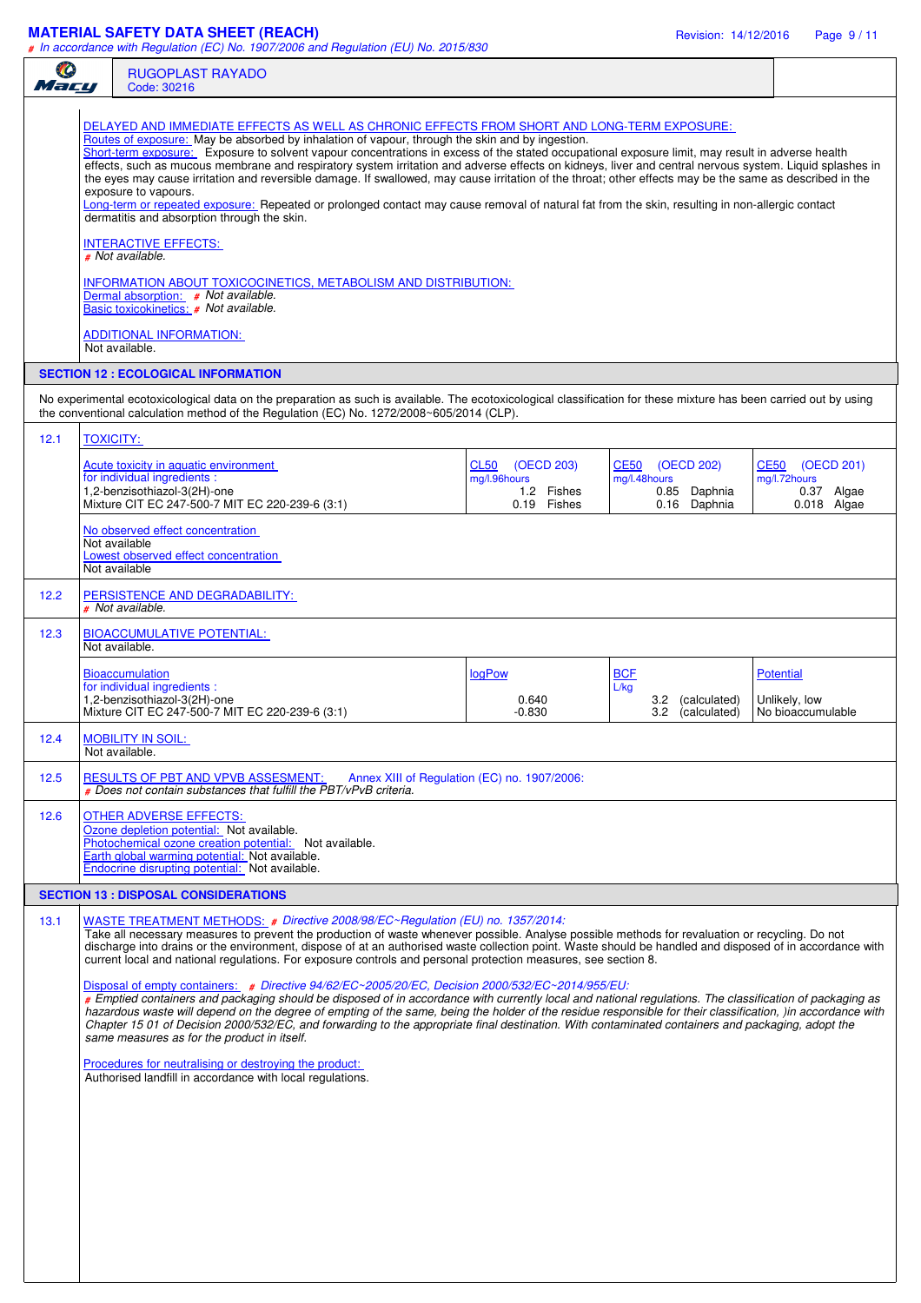## **MATERIAL SAFETY DATA SHEET (REACH)** Revision: 14/12/2016 Page 9 / 11

| Ø<br>Mary |                                                                                                                                                                                                                                                                                                                                                                                                                                                                                                                                                                                                                                                                                                                                                                                                                                                                                                                                                                                                                                                                                                                                                                     | <b>RUGOPLAST RAYADO</b><br>Code: 30216                                                                                                                                                                                                                                                                                                                                                                                                                                                                                                                                                                                                                                                                                                                                                                                                                                                                                                                                                                                                                                                                                                                 |                                                                 |                                                                           |                                                                          |  |
|-----------|---------------------------------------------------------------------------------------------------------------------------------------------------------------------------------------------------------------------------------------------------------------------------------------------------------------------------------------------------------------------------------------------------------------------------------------------------------------------------------------------------------------------------------------------------------------------------------------------------------------------------------------------------------------------------------------------------------------------------------------------------------------------------------------------------------------------------------------------------------------------------------------------------------------------------------------------------------------------------------------------------------------------------------------------------------------------------------------------------------------------------------------------------------------------|--------------------------------------------------------------------------------------------------------------------------------------------------------------------------------------------------------------------------------------------------------------------------------------------------------------------------------------------------------------------------------------------------------------------------------------------------------------------------------------------------------------------------------------------------------------------------------------------------------------------------------------------------------------------------------------------------------------------------------------------------------------------------------------------------------------------------------------------------------------------------------------------------------------------------------------------------------------------------------------------------------------------------------------------------------------------------------------------------------------------------------------------------------|-----------------------------------------------------------------|---------------------------------------------------------------------------|--------------------------------------------------------------------------|--|
|           |                                                                                                                                                                                                                                                                                                                                                                                                                                                                                                                                                                                                                                                                                                                                                                                                                                                                                                                                                                                                                                                                                                                                                                     | DELAYED AND IMMEDIATE EFFECTS AS WELL AS CHRONIC EFFECTS FROM SHORT AND LONG-TERM EXPOSURE:<br>Routes of exposure: May be absorbed by inhalation of vapour, through the skin and by ingestion.<br>Short-term exposure: Exposure to solvent vapour concentrations in excess of the stated occupational exposure limit, may result in adverse health<br>effects, such as mucous membrane and respiratory system irritation and adverse effects on kidneys, liver and central nervous system. Liquid splashes in<br>the eyes may cause irritation and reversible damage. If swallowed, may cause irritation of the throat; other effects may be the same as described in the<br>exposure to vapours.<br>Long-term or repeated exposure: Repeated or prolonged contact may cause removal of natural fat from the skin, resulting in non-allergic contact<br>dermatitis and absorption through the skin.<br><b>INTERACTIVE EFFECTS:</b><br># Not available.<br>INFORMATION ABOUT TOXICOCINETICS, METABOLISM AND DISTRIBUTION:<br>Dermal absorption: # Not available.<br>Basic toxicokinetics: # Not available.<br>ADDITIONAL INFORMATION:<br>Not available. |                                                                 |                                                                           |                                                                          |  |
|           |                                                                                                                                                                                                                                                                                                                                                                                                                                                                                                                                                                                                                                                                                                                                                                                                                                                                                                                                                                                                                                                                                                                                                                     | <b>SECTION 12 : ECOLOGICAL INFORMATION</b><br>No experimental ecotoxicological data on the preparation as such is available. The ecotoxicological classification for these mixture has been carried out by using<br>the conventional calculation method of the Regulation (EC) No. 1272/2008~605/2014 (CLP).                                                                                                                                                                                                                                                                                                                                                                                                                                                                                                                                                                                                                                                                                                                                                                                                                                           |                                                                 |                                                                           |                                                                          |  |
| 12.1      | <b>TOXICITY:</b>                                                                                                                                                                                                                                                                                                                                                                                                                                                                                                                                                                                                                                                                                                                                                                                                                                                                                                                                                                                                                                                                                                                                                    |                                                                                                                                                                                                                                                                                                                                                                                                                                                                                                                                                                                                                                                                                                                                                                                                                                                                                                                                                                                                                                                                                                                                                        |                                                                 |                                                                           |                                                                          |  |
|           |                                                                                                                                                                                                                                                                                                                                                                                                                                                                                                                                                                                                                                                                                                                                                                                                                                                                                                                                                                                                                                                                                                                                                                     | Acute toxicity in aquatic environment<br>for individual ingredients :<br>1,2-benzisothiazol-3(2H)-one<br>Mixture CIT EC 247-500-7 MIT EC 220-239-6 (3:1)                                                                                                                                                                                                                                                                                                                                                                                                                                                                                                                                                                                                                                                                                                                                                                                                                                                                                                                                                                                               | (OECD 203)<br>CL50<br>mg/l.96hours<br>1.2 Fishes<br>0.19 Fishes | <b>CE50</b><br>(OECD 202)<br>mg/l.48hours<br>0.85 Daphnia<br>0.16 Daphnia | <b>CE50</b><br>(OECD 201)<br>mg/l.72hours<br>0.37 Algae<br>$0.018$ Algae |  |
|           |                                                                                                                                                                                                                                                                                                                                                                                                                                                                                                                                                                                                                                                                                                                                                                                                                                                                                                                                                                                                                                                                                                                                                                     | No observed effect concentration<br>Not available<br>Lowest observed effect concentration<br>Not available                                                                                                                                                                                                                                                                                                                                                                                                                                                                                                                                                                                                                                                                                                                                                                                                                                                                                                                                                                                                                                             |                                                                 |                                                                           |                                                                          |  |
| 12.2      |                                                                                                                                                                                                                                                                                                                                                                                                                                                                                                                                                                                                                                                                                                                                                                                                                                                                                                                                                                                                                                                                                                                                                                     | PERSISTENCE AND DEGRADABILITY:<br># Not available.                                                                                                                                                                                                                                                                                                                                                                                                                                                                                                                                                                                                                                                                                                                                                                                                                                                                                                                                                                                                                                                                                                     |                                                                 |                                                                           |                                                                          |  |
| 12.3      |                                                                                                                                                                                                                                                                                                                                                                                                                                                                                                                                                                                                                                                                                                                                                                                                                                                                                                                                                                                                                                                                                                                                                                     | <b>BIOACCUMULATIVE POTENTIAL:</b><br>Not available.                                                                                                                                                                                                                                                                                                                                                                                                                                                                                                                                                                                                                                                                                                                                                                                                                                                                                                                                                                                                                                                                                                    |                                                                 |                                                                           |                                                                          |  |
|           |                                                                                                                                                                                                                                                                                                                                                                                                                                                                                                                                                                                                                                                                                                                                                                                                                                                                                                                                                                                                                                                                                                                                                                     | <b>Bioaccumulation</b><br>for individual ingredients :<br>1,2-benzisothiazol-3(2H)-one<br>Mixture CIT EC 247-500-7 MIT EC 220-239-6 (3:1)                                                                                                                                                                                                                                                                                                                                                                                                                                                                                                                                                                                                                                                                                                                                                                                                                                                                                                                                                                                                              | <b>logPow</b><br>0.640<br>$-0.830$                              | <b>BCF</b><br>L/kg<br>3.2 (calculated)<br>3.2<br>(calculated)             | <b>Potential</b><br>Unlikely, low<br>No bioaccumulable                   |  |
| 12.4      |                                                                                                                                                                                                                                                                                                                                                                                                                                                                                                                                                                                                                                                                                                                                                                                                                                                                                                                                                                                                                                                                                                                                                                     | <b>MOBILITY IN SOIL:</b><br>Not available.                                                                                                                                                                                                                                                                                                                                                                                                                                                                                                                                                                                                                                                                                                                                                                                                                                                                                                                                                                                                                                                                                                             |                                                                 |                                                                           |                                                                          |  |
| 12.5      |                                                                                                                                                                                                                                                                                                                                                                                                                                                                                                                                                                                                                                                                                                                                                                                                                                                                                                                                                                                                                                                                                                                                                                     | <b>RESULTS OF PBT AND VPVB ASSESMENT:</b><br># Does not contain substances that fulfill the PBT/vPvB criteria.                                                                                                                                                                                                                                                                                                                                                                                                                                                                                                                                                                                                                                                                                                                                                                                                                                                                                                                                                                                                                                         | Annex XIII of Regulation (EC) no. 1907/2006:                    |                                                                           |                                                                          |  |
| 12.6      |                                                                                                                                                                                                                                                                                                                                                                                                                                                                                                                                                                                                                                                                                                                                                                                                                                                                                                                                                                                                                                                                                                                                                                     | <b>OTHER ADVERSE EFFECTS:</b><br>Ozone depletion potential: Not available.<br>Photochemical ozone creation potential: Not available.<br>Earth global warming potential: Not available.<br>Endocrine disrupting potential: Not available.                                                                                                                                                                                                                                                                                                                                                                                                                                                                                                                                                                                                                                                                                                                                                                                                                                                                                                               |                                                                 |                                                                           |                                                                          |  |
|           |                                                                                                                                                                                                                                                                                                                                                                                                                                                                                                                                                                                                                                                                                                                                                                                                                                                                                                                                                                                                                                                                                                                                                                     | <b>SECTION 13 : DISPOSAL CONSIDERATIONS</b>                                                                                                                                                                                                                                                                                                                                                                                                                                                                                                                                                                                                                                                                                                                                                                                                                                                                                                                                                                                                                                                                                                            |                                                                 |                                                                           |                                                                          |  |
| 13.1      | WASTE TREATMENT METHODS: # Directive 2008/98/EC~Regulation (EU) no. 1357/2014:<br>Take all necessary measures to prevent the production of waste whenever possible. Analyse possible methods for revaluation or recycling. Do not<br>discharge into drains or the environment, dispose of at an authorised waste collection point. Waste should be handled and disposed of in accordance with<br>current local and national regulations. For exposure controls and personal protection measures, see section 8.<br>Disposal of empty containers: $\#$ Directive 94/62/EC $\sim$ 2005/20/EC, Decision 2000/532/EC $\sim$ 2014/955/EU:<br># Emptied containers and packaging should be disposed of in accordance with currently local and national regulations. The classification of packaging as<br>hazardous waste will depend on the degree of empting of the same, being the holder of the residue responsible for their classification, )in accordance with<br>Chapter 15 01 of Decision 2000/532/EC, and forwarding to the appropriate final destination. With contaminated containers and packaging, adopt the<br>same measures as for the product in itself. |                                                                                                                                                                                                                                                                                                                                                                                                                                                                                                                                                                                                                                                                                                                                                                                                                                                                                                                                                                                                                                                                                                                                                        |                                                                 |                                                                           |                                                                          |  |
|           |                                                                                                                                                                                                                                                                                                                                                                                                                                                                                                                                                                                                                                                                                                                                                                                                                                                                                                                                                                                                                                                                                                                                                                     | Procedures for neutralising or destroying the product:<br>Authorised landfill in accordance with local regulations.                                                                                                                                                                                                                                                                                                                                                                                                                                                                                                                                                                                                                                                                                                                                                                                                                                                                                                                                                                                                                                    |                                                                 |                                                                           |                                                                          |  |
|           |                                                                                                                                                                                                                                                                                                                                                                                                                                                                                                                                                                                                                                                                                                                                                                                                                                                                                                                                                                                                                                                                                                                                                                     |                                                                                                                                                                                                                                                                                                                                                                                                                                                                                                                                                                                                                                                                                                                                                                                                                                                                                                                                                                                                                                                                                                                                                        |                                                                 |                                                                           |                                                                          |  |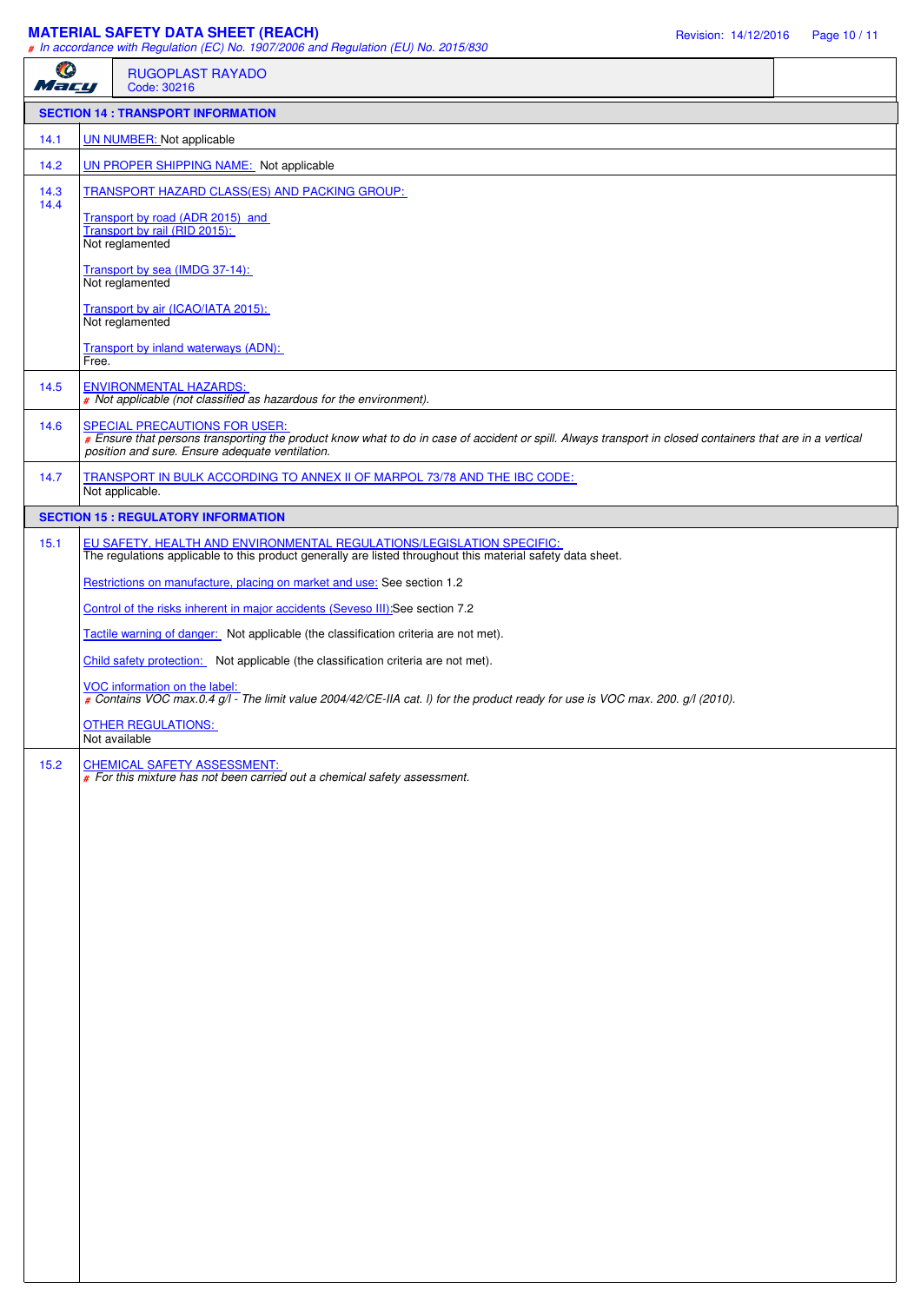# **MATERIAL SAFETY DATA SHEET (REACH) Revision: 14/12/2016** Page 10 / 11

|              |       | # In accordance with Regulation (EC) No. 1907/2006 and Regulation (EU) No. 2015/830                                                                                                                                                           |
|--------------|-------|-----------------------------------------------------------------------------------------------------------------------------------------------------------------------------------------------------------------------------------------------|
| O<br>Mary    |       | <b>RUGOPLAST RAYADO</b><br>Code: 30216                                                                                                                                                                                                        |
|              |       | <b>SECTION 14 : TRANSPORT INFORMATION</b>                                                                                                                                                                                                     |
| 14.1         |       | UN NUMBER: Not applicable                                                                                                                                                                                                                     |
| 14.2         |       | <b>UN PROPER SHIPPING NAME:</b> Not applicable                                                                                                                                                                                                |
| 14.3<br>14.4 |       | TRANSPORT HAZARD CLASS(ES) AND PACKING GROUP:                                                                                                                                                                                                 |
|              |       | Transport by road (ADR 2015) and<br>Transport by rail (RID 2015):<br>Not reglamented                                                                                                                                                          |
|              |       | Transport by sea (IMDG 37-14):<br>Not reglamented                                                                                                                                                                                             |
|              |       | Transport by air (ICAO/IATA 2015):<br>Not reglamented                                                                                                                                                                                         |
|              | Free. | Transport by inland waterways (ADN):                                                                                                                                                                                                          |
| 14.5         |       | <b>ENVIRONMENTAL HAZARDS:</b><br># Not applicable (not classified as hazardous for the environment).                                                                                                                                          |
| 14.6         |       | SPECIAL PRECAUTIONS FOR USER:<br># Ensure that persons transporting the product know what to do in case of accident or spill. Always transport in closed containers that are in a vertical<br>position and sure. Ensure adequate ventilation. |
| 14.7         |       | TRANSPORT IN BULK ACCORDING TO ANNEX II OF MARPOL 73/78 AND THE IBC CODE:<br>Not applicable.                                                                                                                                                  |
|              |       | <b>SECTION 15 : REGULATORY INFORMATION</b>                                                                                                                                                                                                    |
| 15.1         |       | EU SAFETY, HEALTH AND ENVIRONMENTAL REGULATIONS/LEGISLATION SPECIFIC:<br>The regulations applicable to this product generally are listed throughout this material safety data sheet.                                                          |
|              |       | Restrictions on manufacture, placing on market and use: See section 1.2                                                                                                                                                                       |
|              |       | Control of the risks inherent in major accidents (Seveso III):See section 7.2                                                                                                                                                                 |
|              |       | Tactile warning of danger: Not applicable (the classification criteria are not met).                                                                                                                                                          |
|              |       | Child safety protection: Not applicable (the classification criteria are not met).                                                                                                                                                            |
|              |       | VOC information on the label:<br># Contains VOC max.0.4 g/l - The limit value 2004/42/CE-IIA cat. I) for the product ready for use is VOC max. 200. g/l (2010).                                                                               |
|              |       | <b>OTHER REGULATIONS:</b><br>Not available                                                                                                                                                                                                    |
| 15.2         |       | CHEMICAL SAFETY ASSESSMENT:<br>For this mixture has not been carried out a chemical safety assessment.                                                                                                                                        |
|              |       |                                                                                                                                                                                                                                               |
|              |       |                                                                                                                                                                                                                                               |
|              |       |                                                                                                                                                                                                                                               |
|              |       |                                                                                                                                                                                                                                               |
|              |       |                                                                                                                                                                                                                                               |
|              |       |                                                                                                                                                                                                                                               |
|              |       |                                                                                                                                                                                                                                               |
|              |       |                                                                                                                                                                                                                                               |
|              |       |                                                                                                                                                                                                                                               |
|              |       |                                                                                                                                                                                                                                               |
|              |       |                                                                                                                                                                                                                                               |
|              |       |                                                                                                                                                                                                                                               |
|              |       |                                                                                                                                                                                                                                               |
|              |       |                                                                                                                                                                                                                                               |